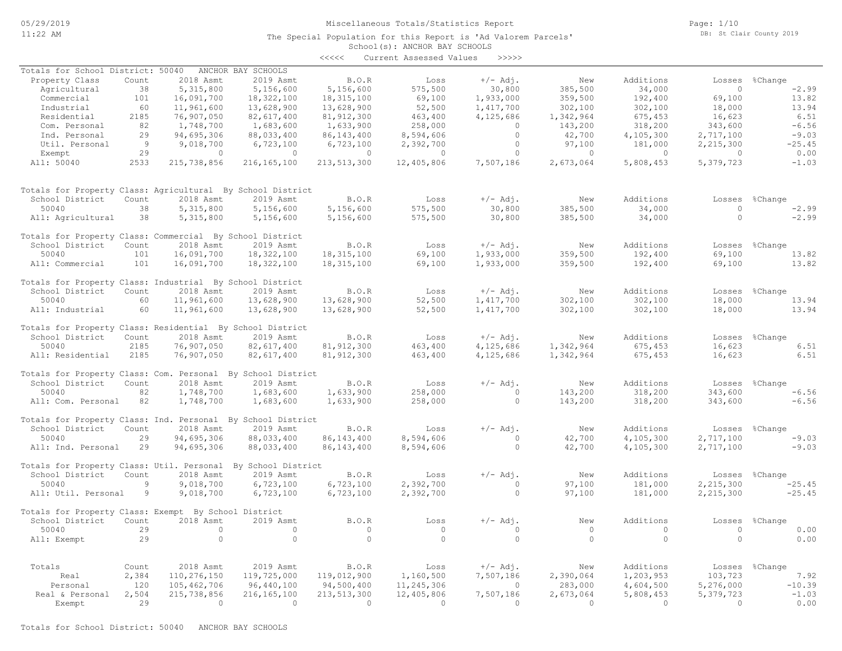School(s): ANCHOR BAY SCHOOLS The Special Population for this Report is 'Ad Valorem Parcels' Page: 1/10 DB: St Clair County 2019

# <<<<< Current Assessed Values >>>>> Exempt 29 0 0 0 0 0 0 0 0 0 0 0 0 0 0 Real & Personal 2,504 215,738,856 216,165,100 213,513,300 12,405,806 7,507,186 2,673,064 5,808,453 5,379,723 -1.03 Personal 120 105,462,706 96,440,100 94,500,400 11,245,306 0 283,000 4,604,500 5,276,000 -10.39 Real 2,384 110,276,150 119,725,000 119,012,900 1,160,500 7,507,186 2,390,064 1,203,953 103,723 7.92 Totals Count 2018 Asmt 2019 Asmt B.O.R Loss +/- Adj. New Additions Losses %Change All: Exempt 29 0 0 0 0 0 0 0 0 0.00 50040 29 0 0 0 0 0 0 0 0 0.00 School District Count 2018 Asmt 2019 Asmt B.O.R Loss +/-Adj. New Additions Losses %Change Totals for Property Class: Exempt By School District All: Util. Personal 9 9,018,700 6,723,100 6,723,100 2,392,700 0 97,100 181,000 2,215,300 -25.45 50040 9 9,018,700 6,723,100 6,723,100 2,392,700 0 97,100 181,000 2,215,300 -25.45 School District Count 2018 Asmt 2019 Asmt B.O.R Loss +/-Adj. New Additions Losses %Change Totals for Property Class: Util. Personal By School District All: Ind. Personal 29 94,695,306 88,033,400 86,143,400 8,594,606 0 42,700 4,105,300 2,717,100 -9.03 50040 29 94,695,306 88,033,400 86,143,400 8,594,606 0 42,700 4,105,300 2,717,100 -9.03 School District Count 2018 Asmt 2019 Asmt B.O.R Loss +/- Adj. New Additions Losses %Change<br>50040 2.717,100 94,695,306 88,033,400 86,143,400 8,594,606 0 942,700 4,105,300 2,717,100 -9.03 Totals for Property Class: Ind. Personal By School District All: Com. Personal 82 1,748,700 1,683,600 1,633,900 258,000 0 143,200 318,200 343,600 -6.56 50040 82 1,748,700 1,683,600 1,633,900 258,000 0 143,200 318,200 343,600 -6.56 School District Count 2018 Asmt 2019 Asmt B.O.R Loss +/- Adj. New Additions Losses %Change Totals for Property Class: Com. Personal By School District All: Residential 2185 76,907,050 82,617,400 81,912,300 463,400 4,125,686 1,342,964 675,453 16,623 6.51 50040 2185 76,907,050 82,617,400 81,912,300 463,400 4,125,686 1,342,964 675,453 16,623 6.51 School District Count 2018 Asmt 2019 Asmt B.O.R Loss +/- Adj. New Additions Losses %Change Totals for Property Class: Residential By School District All: Industrial 60 11,961,600 13,628,900 13,628,900 52,500 1,417,700 302,100 302,100 18,000 13.94 50040 60 11,961,600 13,628,900 13,628,900 52,500 1,417,700 302,100 302,100 18,000 13.94 School District Count 2018 Asmt 2019 Asmt B.O.R Loss +/-Adj. New Additions Losses %Change Totals for Property Class: Industrial By School District All: Commercial 101 16,091,700 18,322,100 18,315,100 69,100 1,933,000 359,500 192,400 69,100 13.82 50040 101 16,091,700 18,322,100 18,315,100 69,100 1,933,000 359,500 192,400 69,100 13.82 School District Count 2018 Asmt 2019 Asmt B.O.R Loss +/-Adj. New Additions Losses %Change Totals for Property Class: Commercial By School District All: Agricultural 38 5,315,800 5,156,600 5,156,600 575,500 30,800 385,500 34,000 0 -2.99 50040 38 5,315,800 5,156,600 5,156,600 575,500 30,800 385,500 34,000 0 -2.99 School District Count 2018 Asmt 2019 Asmt B.O.R Loss +/-Adj. New Additions Losses %Change Totals for Property Class: Agricultural By School District All: 50040 2533 215,738,856 216,165,100 213,513,300 12,405,806 7,507,186 2,673,064 5,808,453 5,379,723 -1.03 Exempt 29 0 0 0 0 0 0 0 0 0.00 Util. Personal 9 9,018,700 6,723,100 6,723,100 2,392,700 0 97,100 181,000 2,215,300 -25.45 Ind. Personal 29 94,695,306 88,033,400 86,143,400 8,594,606 0 42,700 4,105,300 2,717,100 -9.03 Com. Personal 82 1,748,700 1,683,600 1,633,900 258,000 0 143,200 318,200 343,600 -6.56 Residential 2185 76,907,050 82,617,400 81,912,300 463,400 4,125,686 1,342,964 675,453 16,623 6.51 Industrial 60 11,961,600 13,628,900 13,628,900 52,500 1,417,700 302,100 302,100 18,000 13.94 Commercial 101 16,091,700 18,322,100 18,315,100 69,100 1,933,000 359,500 192,400 69,100 13.82 Agricultural 38 5,315,800 5,156,600 5,156,600 575,500 30,800 385,500 34,000 0 -2.99 Property Class Count 2018 Asmt 2019 Asmt B.O.R Loss +/-Adj. New Additions Losses %Change Totals for School District: 50040 ANCHOR BAY SCHOOLS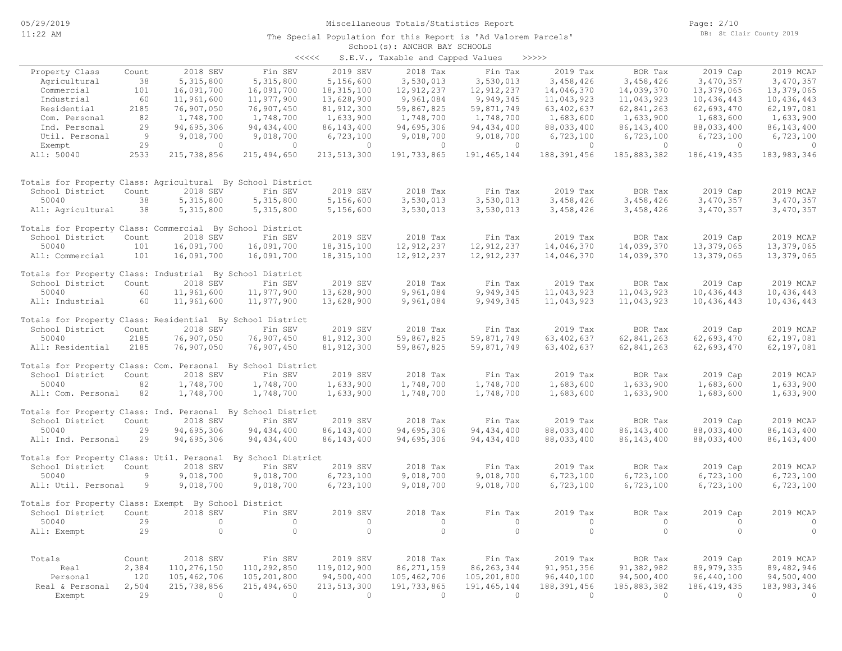#### School(s): ANCHOR BAY SCHOOLS The Special Population for this Report is 'Ad Valorem Parcels'

| くくくくく | S.E.V., Taxable and Capped Values |  | >>>>>> |
|-------|-----------------------------------|--|--------|

| 2019 SEV<br>Property Class<br>2018 SEV<br>Fin SEV<br>2018 Tax<br>2019 Tax<br>BOR Tax<br>2019 Cap<br>2019 MCAP<br>Count<br>Fin Tax<br>Agricultural<br>38<br>5,315,800<br>5,315,800<br>5,156,600<br>3,530,013<br>3,530,013<br>3,458,426<br>3,458,426<br>3,470,357<br>3,470,357<br>101<br>12, 912, 237<br>14,039,370<br>13,379,065<br>Commercial<br>16,091,700<br>16,091,700<br>18, 315, 100<br>12,912,237<br>14,046,370<br>13,379,065<br>60<br>11,961,600<br>11,977,900<br>13,628,900<br>9,949,345<br>11,043,923<br>Industrial<br>9,961,084<br>11,043,923<br>10,436,443<br>10,436,443<br>Residential<br>2185<br>76,907,050<br>76,907,450<br>81, 912, 300<br>59,867,825<br>59,871,749<br>63, 402, 637<br>62,841,263<br>62,693,470<br>62,197,081<br>82<br>1,748,700<br>1,748,700<br>1,633,900<br>1,633,900<br>Com. Personal<br>1,748,700<br>1,633,900<br>1,748,700<br>1,683,600<br>1,683,600<br>29<br>94,695,306<br>Ind. Personal<br>94, 434, 400<br>86, 143, 400<br>94,695,306<br>94, 434, 400<br>88,033,400<br>86, 143, 400<br>88,033,400<br>86, 143, 400<br>Util. Personal<br>-9<br>9,018,700<br>9,018,700<br>6,723,100<br>9,018,700<br>9,018,700<br>6,723,100<br>6,723,100<br>6,723,100<br>6,723,100<br>29<br>Exempt<br>$\circ$<br>$\circ$<br>$\circ$<br>$\circ$<br>$\circ$<br>$\circ$<br>$\circ$<br>$\circ$<br>$\circ$<br>All: 50040<br>2533<br>215,738,856<br>215, 494, 650<br>213, 513, 300<br>191,733,865<br>188, 391, 456<br>185,883,382<br>186, 419, 435<br>191, 465, 144<br>183, 983, 346<br>Totals for Property Class: Agricultural By School District<br>School District<br>2018 SEV<br>Fin SEV<br>2019 SEV<br>2018 Tax<br>Fin Tax<br>2019 Tax<br>BOR Tax<br>2019 Cap<br>2019 MCAP<br>Count<br>3,530,013<br>50040<br>38<br>5, 315, 800<br>5, 315, 800<br>5,156,600<br>3,530,013<br>3,458,426<br>3,458,426<br>3,470,357<br>3,470,357<br>3,530,013<br>3,530,013<br>3,458,426<br>3,470,357<br>All: Agricultural<br>38<br>5,315,800<br>5,315,800<br>5,156,600<br>3,458,426<br>3,470,357<br>Totals for Property Class: Commercial By School District<br>2018 SEV<br>2019 SEV<br>2018 Tax<br>2019 Tax<br>2019 MCAP<br>School District<br>Count<br>Fin SEV<br>Fin Tax<br>BOR Tax<br>2019 Cap<br>16,091,700<br>18, 315, 100<br>12,912,237<br>12, 912, 237<br>14,039,370<br>50040<br>101<br>16,091,700<br>14,046,370<br>13,379,065<br>13,379,065<br>101<br>16,091,700<br>16,091,700<br>18, 315, 100<br>12, 912, 237<br>12, 912, 237<br>14,046,370<br>14,039,370<br>13,379,065<br>13,379,065<br>All: Commercial<br>Totals for Property Class: Industrial By School District<br>Fin SEV<br>2019 SEV<br>2018 Tax<br>2019 Tax<br>2019 MCAP<br>School District<br>Count<br>2018 SEV<br>Fin Tax<br>BOR Tax<br>2019 Cap<br>9,949,345<br>50040<br>60<br>11,961,600<br>11,977,900<br>13,628,900<br>9,961,084<br>11,043,923<br>11,043,923<br>10,436,443<br>10,436,443<br>60<br>11,961,600<br>11,977,900<br>13,628,900<br>9,961,084<br>9,949,345<br>11,043,923<br>11,043,923<br>10,436,443<br>10,436,443<br>All: Industrial<br>Totals for Property Class: Residential By School District<br>2018 SEV<br>2019 SEV<br>2018 Tax<br>Fin Tax<br>2019 Tax<br>BOR Tax<br>2019 Cap<br>2019 MCAP<br>School District<br>Count<br>Fin SEV<br>2185<br>76,907,050<br>76,907,450<br>81, 912, 300<br>59,867,825<br>59,871,749<br>63, 402, 637<br>62,841,263<br>62,693,470<br>62,197,081<br>50040<br>2185<br>76,907,450<br>59,871,749<br>63, 402, 637<br>62,841,263<br>62,693,470<br>76,907,050<br>81, 912, 300<br>59,867,825<br>62,197,081<br>All: Residential<br>Totals for Property Class: Com. Personal By School District<br>2019 SEV<br>School District<br>2018 SEV<br>Fin SEV<br>2018 Tax<br>Fin Tax<br>2019 Tax<br>BOR Tax<br>2019 Cap<br>2019 MCAP<br>Count<br>50040<br>82<br>1,748,700<br>1,748,700<br>1,633,900<br>1,748,700<br>1,748,700<br>1,683,600<br>1,633,900<br>1,683,600<br>1,633,900<br>82<br>1,683,600<br>1,633,900<br>All: Com. Personal<br>1,748,700<br>1,748,700<br>1,633,900<br>1,748,700<br>1,748,700<br>1,683,600<br>1,633,900<br>Totals for Property Class: Ind. Personal By School District<br>Count<br>2018 SEV<br>2019 SEV<br>2018 Tax<br>2019 Tax<br>2019 Cap<br>2019 MCAP<br>School District<br>Fin SEV<br>Fin Tax<br>BOR Tax<br>94,695,306<br>86, 143, 400<br>94, 434, 400<br>88,033,400<br>86, 143, 400<br>88,033,400<br>50040<br>29<br>94, 434, 400<br>94,695,306<br>86, 143, 400<br>29<br>94,695,306<br>94,695,306<br>94, 434, 400<br>88,033,400<br>86, 143, 400<br>88,033,400<br>86, 143, 400<br>All: Ind. Personal<br>94, 434, 400<br>86, 143, 400<br>Totals for Property Class: Util. Personal<br>By School District<br>2018 SEV<br>Fin SEV<br>2019 SEV<br>2018 Tax<br>Fin Tax<br>2019 Tax<br>2019 MCAP<br>School District<br>Count<br>BOR Tax<br>2019 Cap<br>6,723,100<br>9,018,700<br>9,018,700<br>6,723,100<br>6,723,100<br>6,723,100<br>50040<br>9<br>9,018,700<br>9,018,700<br>6,723,100<br>All: Util. Personal<br>9<br>9,018,700<br>9,018,700<br>6,723,100<br>9,018,700<br>9,018,700<br>6,723,100<br>6,723,100<br>6,723,100<br>6,723,100<br>Totals for Property Class: Exempt By School District<br>2019 SEV<br>2018 Tax<br>2019 Tax<br>2019 MCAP<br>School District<br>Count<br>2018 SEV<br>Fin SEV<br>Fin Tax<br>BOR Tax<br>2019 Cap<br>29<br>$\circ$<br>$\circ$<br>$\circ$<br>$\circ$<br>$\circ$<br>$\circ$<br>$\circ$<br>$\circ$<br>$\circ$<br>50040<br>$\circ$<br>$\circ$<br>$\circ$<br>$\circ$<br>29<br>$\circ$<br>$\circ$<br>$\circ$<br>$\Omega$<br>$\circ$<br>All: Exempt<br>2018 SEV<br>2019 SEV<br>Totals<br>Fin SEV<br>2018 Tax<br>Fin Tax<br>2019 Tax<br>BOR Tax<br>2019 Cap<br>2019 MCAP<br>Count<br>2,384<br>110,276,150<br>110,292,850<br>119,012,900<br>86, 271, 159<br>86, 263, 344<br>89, 979, 335<br>91, 951, 356<br>91,382,982<br>89,482,946<br>Real<br>120<br>94,500,400<br>Personal<br>105,462,706<br>105,201,800<br>105,462,706<br>105,201,800<br>96,440,100<br>94,500,400<br>96,440,100<br>94,500,400<br>Real & Personal<br>2,504<br>215,738,856<br>215, 494, 650<br>213, 513, 300<br>191,733,865<br>191, 465, 144<br>188,391,456<br>185,883,382<br>186, 419, 435<br>183, 983, 346<br>29<br>$\Omega$<br>$\Omega$<br>$\Omega$<br>$\overline{0}$<br>$\Omega$<br>$\Omega$<br>$\Omega$<br>$\Omega$<br>$\Omega$<br>Exempt |  |  | $5.2.7.7$ candidate and suppose |  |  |  |
|-----------------------------------------------------------------------------------------------------------------------------------------------------------------------------------------------------------------------------------------------------------------------------------------------------------------------------------------------------------------------------------------------------------------------------------------------------------------------------------------------------------------------------------------------------------------------------------------------------------------------------------------------------------------------------------------------------------------------------------------------------------------------------------------------------------------------------------------------------------------------------------------------------------------------------------------------------------------------------------------------------------------------------------------------------------------------------------------------------------------------------------------------------------------------------------------------------------------------------------------------------------------------------------------------------------------------------------------------------------------------------------------------------------------------------------------------------------------------------------------------------------------------------------------------------------------------------------------------------------------------------------------------------------------------------------------------------------------------------------------------------------------------------------------------------------------------------------------------------------------------------------------------------------------------------------------------------------------------------------------------------------------------------------------------------------------------------------------------------------------------------------------------------------------------------------------------------------------------------------------------------------------------------------------------------------------------------------------------------------------------------------------------------------------------------------------------------------------------------------------------------------------------------------------------------------------------------------------------------------------------------------------------------------------------------------------------------------------------------------------------------------------------------------------------------------------------------------------------------------------------------------------------------------------------------------------------------------------------------------------------------------------------------------------------------------------------------------------------------------------------------------------------------------------------------------------------------------------------------------------------------------------------------------------------------------------------------------------------------------------------------------------------------------------------------------------------------------------------------------------------------------------------------------------------------------------------------------------------------------------------------------------------------------------------------------------------------------------------------------------------------------------------------------------------------------------------------------------------------------------------------------------------------------------------------------------------------------------------------------------------------------------------------------------------------------------------------------------------------------------------------------------------------------------------------------------------------------------------------------------------------------------------------------------------------------------------------------------------------------------------------------------------------------------------------------------------------------------------------------------------------------------------------------------------------------------------------------------------------------------------------------------------------------------------------------------------------------------------------------------------------------------------------------------------------------------------------------------------------------------------------------------------------------------------------------------------------------------------------------------------------------------------------------------------------------------------------------------------------------------------------------------------------------------------------------------------------------------------------------------------------------------------------------------------------------------------------------------------------------------------------------------------------------------------------------------------------------------------------------------------------------------------------------------------------------------------------------------------------------------------------------------------------------------------------------------------------------------------------------------------------------------------------------------------------------------------------------------------------------------------------------------------------------------------------------------------------------------------------------------------------------------------------------------------------------------------------------------------------------------------------------------------------------------------------------------------------------------------------------------------------------------|--|--|---------------------------------|--|--|--|
|                                                                                                                                                                                                                                                                                                                                                                                                                                                                                                                                                                                                                                                                                                                                                                                                                                                                                                                                                                                                                                                                                                                                                                                                                                                                                                                                                                                                                                                                                                                                                                                                                                                                                                                                                                                                                                                                                                                                                                                                                                                                                                                                                                                                                                                                                                                                                                                                                                                                                                                                                                                                                                                                                                                                                                                                                                                                                                                                                                                                                                                                                                                                                                                                                                                                                                                                                                                                                                                                                                                                                                                                                                                                                                                                                                                                                                                                                                                                                                                                                                                                                                                                                                                                                                                                                                                                                                                                                                                                                                                                                                                                                                                                                                                                                                                                                                                                                                                                                                                                                                                                                                                                                                                                                                                                                                                                                                                                                                                                                                                                                                                                                                                                                                                                                                                                                                                                                                                                                                                                                                                                                                                                                                                                                                                                 |  |  |                                 |  |  |  |
|                                                                                                                                                                                                                                                                                                                                                                                                                                                                                                                                                                                                                                                                                                                                                                                                                                                                                                                                                                                                                                                                                                                                                                                                                                                                                                                                                                                                                                                                                                                                                                                                                                                                                                                                                                                                                                                                                                                                                                                                                                                                                                                                                                                                                                                                                                                                                                                                                                                                                                                                                                                                                                                                                                                                                                                                                                                                                                                                                                                                                                                                                                                                                                                                                                                                                                                                                                                                                                                                                                                                                                                                                                                                                                                                                                                                                                                                                                                                                                                                                                                                                                                                                                                                                                                                                                                                                                                                                                                                                                                                                                                                                                                                                                                                                                                                                                                                                                                                                                                                                                                                                                                                                                                                                                                                                                                                                                                                                                                                                                                                                                                                                                                                                                                                                                                                                                                                                                                                                                                                                                                                                                                                                                                                                                                                 |  |  |                                 |  |  |  |
|                                                                                                                                                                                                                                                                                                                                                                                                                                                                                                                                                                                                                                                                                                                                                                                                                                                                                                                                                                                                                                                                                                                                                                                                                                                                                                                                                                                                                                                                                                                                                                                                                                                                                                                                                                                                                                                                                                                                                                                                                                                                                                                                                                                                                                                                                                                                                                                                                                                                                                                                                                                                                                                                                                                                                                                                                                                                                                                                                                                                                                                                                                                                                                                                                                                                                                                                                                                                                                                                                                                                                                                                                                                                                                                                                                                                                                                                                                                                                                                                                                                                                                                                                                                                                                                                                                                                                                                                                                                                                                                                                                                                                                                                                                                                                                                                                                                                                                                                                                                                                                                                                                                                                                                                                                                                                                                                                                                                                                                                                                                                                                                                                                                                                                                                                                                                                                                                                                                                                                                                                                                                                                                                                                                                                                                                 |  |  |                                 |  |  |  |
|                                                                                                                                                                                                                                                                                                                                                                                                                                                                                                                                                                                                                                                                                                                                                                                                                                                                                                                                                                                                                                                                                                                                                                                                                                                                                                                                                                                                                                                                                                                                                                                                                                                                                                                                                                                                                                                                                                                                                                                                                                                                                                                                                                                                                                                                                                                                                                                                                                                                                                                                                                                                                                                                                                                                                                                                                                                                                                                                                                                                                                                                                                                                                                                                                                                                                                                                                                                                                                                                                                                                                                                                                                                                                                                                                                                                                                                                                                                                                                                                                                                                                                                                                                                                                                                                                                                                                                                                                                                                                                                                                                                                                                                                                                                                                                                                                                                                                                                                                                                                                                                                                                                                                                                                                                                                                                                                                                                                                                                                                                                                                                                                                                                                                                                                                                                                                                                                                                                                                                                                                                                                                                                                                                                                                                                                 |  |  |                                 |  |  |  |
|                                                                                                                                                                                                                                                                                                                                                                                                                                                                                                                                                                                                                                                                                                                                                                                                                                                                                                                                                                                                                                                                                                                                                                                                                                                                                                                                                                                                                                                                                                                                                                                                                                                                                                                                                                                                                                                                                                                                                                                                                                                                                                                                                                                                                                                                                                                                                                                                                                                                                                                                                                                                                                                                                                                                                                                                                                                                                                                                                                                                                                                                                                                                                                                                                                                                                                                                                                                                                                                                                                                                                                                                                                                                                                                                                                                                                                                                                                                                                                                                                                                                                                                                                                                                                                                                                                                                                                                                                                                                                                                                                                                                                                                                                                                                                                                                                                                                                                                                                                                                                                                                                                                                                                                                                                                                                                                                                                                                                                                                                                                                                                                                                                                                                                                                                                                                                                                                                                                                                                                                                                                                                                                                                                                                                                                                 |  |  |                                 |  |  |  |
|                                                                                                                                                                                                                                                                                                                                                                                                                                                                                                                                                                                                                                                                                                                                                                                                                                                                                                                                                                                                                                                                                                                                                                                                                                                                                                                                                                                                                                                                                                                                                                                                                                                                                                                                                                                                                                                                                                                                                                                                                                                                                                                                                                                                                                                                                                                                                                                                                                                                                                                                                                                                                                                                                                                                                                                                                                                                                                                                                                                                                                                                                                                                                                                                                                                                                                                                                                                                                                                                                                                                                                                                                                                                                                                                                                                                                                                                                                                                                                                                                                                                                                                                                                                                                                                                                                                                                                                                                                                                                                                                                                                                                                                                                                                                                                                                                                                                                                                                                                                                                                                                                                                                                                                                                                                                                                                                                                                                                                                                                                                                                                                                                                                                                                                                                                                                                                                                                                                                                                                                                                                                                                                                                                                                                                                                 |  |  |                                 |  |  |  |
|                                                                                                                                                                                                                                                                                                                                                                                                                                                                                                                                                                                                                                                                                                                                                                                                                                                                                                                                                                                                                                                                                                                                                                                                                                                                                                                                                                                                                                                                                                                                                                                                                                                                                                                                                                                                                                                                                                                                                                                                                                                                                                                                                                                                                                                                                                                                                                                                                                                                                                                                                                                                                                                                                                                                                                                                                                                                                                                                                                                                                                                                                                                                                                                                                                                                                                                                                                                                                                                                                                                                                                                                                                                                                                                                                                                                                                                                                                                                                                                                                                                                                                                                                                                                                                                                                                                                                                                                                                                                                                                                                                                                                                                                                                                                                                                                                                                                                                                                                                                                                                                                                                                                                                                                                                                                                                                                                                                                                                                                                                                                                                                                                                                                                                                                                                                                                                                                                                                                                                                                                                                                                                                                                                                                                                                                 |  |  |                                 |  |  |  |
|                                                                                                                                                                                                                                                                                                                                                                                                                                                                                                                                                                                                                                                                                                                                                                                                                                                                                                                                                                                                                                                                                                                                                                                                                                                                                                                                                                                                                                                                                                                                                                                                                                                                                                                                                                                                                                                                                                                                                                                                                                                                                                                                                                                                                                                                                                                                                                                                                                                                                                                                                                                                                                                                                                                                                                                                                                                                                                                                                                                                                                                                                                                                                                                                                                                                                                                                                                                                                                                                                                                                                                                                                                                                                                                                                                                                                                                                                                                                                                                                                                                                                                                                                                                                                                                                                                                                                                                                                                                                                                                                                                                                                                                                                                                                                                                                                                                                                                                                                                                                                                                                                                                                                                                                                                                                                                                                                                                                                                                                                                                                                                                                                                                                                                                                                                                                                                                                                                                                                                                                                                                                                                                                                                                                                                                                 |  |  |                                 |  |  |  |
|                                                                                                                                                                                                                                                                                                                                                                                                                                                                                                                                                                                                                                                                                                                                                                                                                                                                                                                                                                                                                                                                                                                                                                                                                                                                                                                                                                                                                                                                                                                                                                                                                                                                                                                                                                                                                                                                                                                                                                                                                                                                                                                                                                                                                                                                                                                                                                                                                                                                                                                                                                                                                                                                                                                                                                                                                                                                                                                                                                                                                                                                                                                                                                                                                                                                                                                                                                                                                                                                                                                                                                                                                                                                                                                                                                                                                                                                                                                                                                                                                                                                                                                                                                                                                                                                                                                                                                                                                                                                                                                                                                                                                                                                                                                                                                                                                                                                                                                                                                                                                                                                                                                                                                                                                                                                                                                                                                                                                                                                                                                                                                                                                                                                                                                                                                                                                                                                                                                                                                                                                                                                                                                                                                                                                                                                 |  |  |                                 |  |  |  |
|                                                                                                                                                                                                                                                                                                                                                                                                                                                                                                                                                                                                                                                                                                                                                                                                                                                                                                                                                                                                                                                                                                                                                                                                                                                                                                                                                                                                                                                                                                                                                                                                                                                                                                                                                                                                                                                                                                                                                                                                                                                                                                                                                                                                                                                                                                                                                                                                                                                                                                                                                                                                                                                                                                                                                                                                                                                                                                                                                                                                                                                                                                                                                                                                                                                                                                                                                                                                                                                                                                                                                                                                                                                                                                                                                                                                                                                                                                                                                                                                                                                                                                                                                                                                                                                                                                                                                                                                                                                                                                                                                                                                                                                                                                                                                                                                                                                                                                                                                                                                                                                                                                                                                                                                                                                                                                                                                                                                                                                                                                                                                                                                                                                                                                                                                                                                                                                                                                                                                                                                                                                                                                                                                                                                                                                                 |  |  |                                 |  |  |  |
|                                                                                                                                                                                                                                                                                                                                                                                                                                                                                                                                                                                                                                                                                                                                                                                                                                                                                                                                                                                                                                                                                                                                                                                                                                                                                                                                                                                                                                                                                                                                                                                                                                                                                                                                                                                                                                                                                                                                                                                                                                                                                                                                                                                                                                                                                                                                                                                                                                                                                                                                                                                                                                                                                                                                                                                                                                                                                                                                                                                                                                                                                                                                                                                                                                                                                                                                                                                                                                                                                                                                                                                                                                                                                                                                                                                                                                                                                                                                                                                                                                                                                                                                                                                                                                                                                                                                                                                                                                                                                                                                                                                                                                                                                                                                                                                                                                                                                                                                                                                                                                                                                                                                                                                                                                                                                                                                                                                                                                                                                                                                                                                                                                                                                                                                                                                                                                                                                                                                                                                                                                                                                                                                                                                                                                                                 |  |  |                                 |  |  |  |
|                                                                                                                                                                                                                                                                                                                                                                                                                                                                                                                                                                                                                                                                                                                                                                                                                                                                                                                                                                                                                                                                                                                                                                                                                                                                                                                                                                                                                                                                                                                                                                                                                                                                                                                                                                                                                                                                                                                                                                                                                                                                                                                                                                                                                                                                                                                                                                                                                                                                                                                                                                                                                                                                                                                                                                                                                                                                                                                                                                                                                                                                                                                                                                                                                                                                                                                                                                                                                                                                                                                                                                                                                                                                                                                                                                                                                                                                                                                                                                                                                                                                                                                                                                                                                                                                                                                                                                                                                                                                                                                                                                                                                                                                                                                                                                                                                                                                                                                                                                                                                                                                                                                                                                                                                                                                                                                                                                                                                                                                                                                                                                                                                                                                                                                                                                                                                                                                                                                                                                                                                                                                                                                                                                                                                                                                 |  |  |                                 |  |  |  |
|                                                                                                                                                                                                                                                                                                                                                                                                                                                                                                                                                                                                                                                                                                                                                                                                                                                                                                                                                                                                                                                                                                                                                                                                                                                                                                                                                                                                                                                                                                                                                                                                                                                                                                                                                                                                                                                                                                                                                                                                                                                                                                                                                                                                                                                                                                                                                                                                                                                                                                                                                                                                                                                                                                                                                                                                                                                                                                                                                                                                                                                                                                                                                                                                                                                                                                                                                                                                                                                                                                                                                                                                                                                                                                                                                                                                                                                                                                                                                                                                                                                                                                                                                                                                                                                                                                                                                                                                                                                                                                                                                                                                                                                                                                                                                                                                                                                                                                                                                                                                                                                                                                                                                                                                                                                                                                                                                                                                                                                                                                                                                                                                                                                                                                                                                                                                                                                                                                                                                                                                                                                                                                                                                                                                                                                                 |  |  |                                 |  |  |  |
|                                                                                                                                                                                                                                                                                                                                                                                                                                                                                                                                                                                                                                                                                                                                                                                                                                                                                                                                                                                                                                                                                                                                                                                                                                                                                                                                                                                                                                                                                                                                                                                                                                                                                                                                                                                                                                                                                                                                                                                                                                                                                                                                                                                                                                                                                                                                                                                                                                                                                                                                                                                                                                                                                                                                                                                                                                                                                                                                                                                                                                                                                                                                                                                                                                                                                                                                                                                                                                                                                                                                                                                                                                                                                                                                                                                                                                                                                                                                                                                                                                                                                                                                                                                                                                                                                                                                                                                                                                                                                                                                                                                                                                                                                                                                                                                                                                                                                                                                                                                                                                                                                                                                                                                                                                                                                                                                                                                                                                                                                                                                                                                                                                                                                                                                                                                                                                                                                                                                                                                                                                                                                                                                                                                                                                                                 |  |  |                                 |  |  |  |
|                                                                                                                                                                                                                                                                                                                                                                                                                                                                                                                                                                                                                                                                                                                                                                                                                                                                                                                                                                                                                                                                                                                                                                                                                                                                                                                                                                                                                                                                                                                                                                                                                                                                                                                                                                                                                                                                                                                                                                                                                                                                                                                                                                                                                                                                                                                                                                                                                                                                                                                                                                                                                                                                                                                                                                                                                                                                                                                                                                                                                                                                                                                                                                                                                                                                                                                                                                                                                                                                                                                                                                                                                                                                                                                                                                                                                                                                                                                                                                                                                                                                                                                                                                                                                                                                                                                                                                                                                                                                                                                                                                                                                                                                                                                                                                                                                                                                                                                                                                                                                                                                                                                                                                                                                                                                                                                                                                                                                                                                                                                                                                                                                                                                                                                                                                                                                                                                                                                                                                                                                                                                                                                                                                                                                                                                 |  |  |                                 |  |  |  |
|                                                                                                                                                                                                                                                                                                                                                                                                                                                                                                                                                                                                                                                                                                                                                                                                                                                                                                                                                                                                                                                                                                                                                                                                                                                                                                                                                                                                                                                                                                                                                                                                                                                                                                                                                                                                                                                                                                                                                                                                                                                                                                                                                                                                                                                                                                                                                                                                                                                                                                                                                                                                                                                                                                                                                                                                                                                                                                                                                                                                                                                                                                                                                                                                                                                                                                                                                                                                                                                                                                                                                                                                                                                                                                                                                                                                                                                                                                                                                                                                                                                                                                                                                                                                                                                                                                                                                                                                                                                                                                                                                                                                                                                                                                                                                                                                                                                                                                                                                                                                                                                                                                                                                                                                                                                                                                                                                                                                                                                                                                                                                                                                                                                                                                                                                                                                                                                                                                                                                                                                                                                                                                                                                                                                                                                                 |  |  |                                 |  |  |  |
|                                                                                                                                                                                                                                                                                                                                                                                                                                                                                                                                                                                                                                                                                                                                                                                                                                                                                                                                                                                                                                                                                                                                                                                                                                                                                                                                                                                                                                                                                                                                                                                                                                                                                                                                                                                                                                                                                                                                                                                                                                                                                                                                                                                                                                                                                                                                                                                                                                                                                                                                                                                                                                                                                                                                                                                                                                                                                                                                                                                                                                                                                                                                                                                                                                                                                                                                                                                                                                                                                                                                                                                                                                                                                                                                                                                                                                                                                                                                                                                                                                                                                                                                                                                                                                                                                                                                                                                                                                                                                                                                                                                                                                                                                                                                                                                                                                                                                                                                                                                                                                                                                                                                                                                                                                                                                                                                                                                                                                                                                                                                                                                                                                                                                                                                                                                                                                                                                                                                                                                                                                                                                                                                                                                                                                                                 |  |  |                                 |  |  |  |
|                                                                                                                                                                                                                                                                                                                                                                                                                                                                                                                                                                                                                                                                                                                                                                                                                                                                                                                                                                                                                                                                                                                                                                                                                                                                                                                                                                                                                                                                                                                                                                                                                                                                                                                                                                                                                                                                                                                                                                                                                                                                                                                                                                                                                                                                                                                                                                                                                                                                                                                                                                                                                                                                                                                                                                                                                                                                                                                                                                                                                                                                                                                                                                                                                                                                                                                                                                                                                                                                                                                                                                                                                                                                                                                                                                                                                                                                                                                                                                                                                                                                                                                                                                                                                                                                                                                                                                                                                                                                                                                                                                                                                                                                                                                                                                                                                                                                                                                                                                                                                                                                                                                                                                                                                                                                                                                                                                                                                                                                                                                                                                                                                                                                                                                                                                                                                                                                                                                                                                                                                                                                                                                                                                                                                                                                 |  |  |                                 |  |  |  |
|                                                                                                                                                                                                                                                                                                                                                                                                                                                                                                                                                                                                                                                                                                                                                                                                                                                                                                                                                                                                                                                                                                                                                                                                                                                                                                                                                                                                                                                                                                                                                                                                                                                                                                                                                                                                                                                                                                                                                                                                                                                                                                                                                                                                                                                                                                                                                                                                                                                                                                                                                                                                                                                                                                                                                                                                                                                                                                                                                                                                                                                                                                                                                                                                                                                                                                                                                                                                                                                                                                                                                                                                                                                                                                                                                                                                                                                                                                                                                                                                                                                                                                                                                                                                                                                                                                                                                                                                                                                                                                                                                                                                                                                                                                                                                                                                                                                                                                                                                                                                                                                                                                                                                                                                                                                                                                                                                                                                                                                                                                                                                                                                                                                                                                                                                                                                                                                                                                                                                                                                                                                                                                                                                                                                                                                                 |  |  |                                 |  |  |  |
|                                                                                                                                                                                                                                                                                                                                                                                                                                                                                                                                                                                                                                                                                                                                                                                                                                                                                                                                                                                                                                                                                                                                                                                                                                                                                                                                                                                                                                                                                                                                                                                                                                                                                                                                                                                                                                                                                                                                                                                                                                                                                                                                                                                                                                                                                                                                                                                                                                                                                                                                                                                                                                                                                                                                                                                                                                                                                                                                                                                                                                                                                                                                                                                                                                                                                                                                                                                                                                                                                                                                                                                                                                                                                                                                                                                                                                                                                                                                                                                                                                                                                                                                                                                                                                                                                                                                                                                                                                                                                                                                                                                                                                                                                                                                                                                                                                                                                                                                                                                                                                                                                                                                                                                                                                                                                                                                                                                                                                                                                                                                                                                                                                                                                                                                                                                                                                                                                                                                                                                                                                                                                                                                                                                                                                                                 |  |  |                                 |  |  |  |
|                                                                                                                                                                                                                                                                                                                                                                                                                                                                                                                                                                                                                                                                                                                                                                                                                                                                                                                                                                                                                                                                                                                                                                                                                                                                                                                                                                                                                                                                                                                                                                                                                                                                                                                                                                                                                                                                                                                                                                                                                                                                                                                                                                                                                                                                                                                                                                                                                                                                                                                                                                                                                                                                                                                                                                                                                                                                                                                                                                                                                                                                                                                                                                                                                                                                                                                                                                                                                                                                                                                                                                                                                                                                                                                                                                                                                                                                                                                                                                                                                                                                                                                                                                                                                                                                                                                                                                                                                                                                                                                                                                                                                                                                                                                                                                                                                                                                                                                                                                                                                                                                                                                                                                                                                                                                                                                                                                                                                                                                                                                                                                                                                                                                                                                                                                                                                                                                                                                                                                                                                                                                                                                                                                                                                                                                 |  |  |                                 |  |  |  |
|                                                                                                                                                                                                                                                                                                                                                                                                                                                                                                                                                                                                                                                                                                                                                                                                                                                                                                                                                                                                                                                                                                                                                                                                                                                                                                                                                                                                                                                                                                                                                                                                                                                                                                                                                                                                                                                                                                                                                                                                                                                                                                                                                                                                                                                                                                                                                                                                                                                                                                                                                                                                                                                                                                                                                                                                                                                                                                                                                                                                                                                                                                                                                                                                                                                                                                                                                                                                                                                                                                                                                                                                                                                                                                                                                                                                                                                                                                                                                                                                                                                                                                                                                                                                                                                                                                                                                                                                                                                                                                                                                                                                                                                                                                                                                                                                                                                                                                                                                                                                                                                                                                                                                                                                                                                                                                                                                                                                                                                                                                                                                                                                                                                                                                                                                                                                                                                                                                                                                                                                                                                                                                                                                                                                                                                                 |  |  |                                 |  |  |  |
|                                                                                                                                                                                                                                                                                                                                                                                                                                                                                                                                                                                                                                                                                                                                                                                                                                                                                                                                                                                                                                                                                                                                                                                                                                                                                                                                                                                                                                                                                                                                                                                                                                                                                                                                                                                                                                                                                                                                                                                                                                                                                                                                                                                                                                                                                                                                                                                                                                                                                                                                                                                                                                                                                                                                                                                                                                                                                                                                                                                                                                                                                                                                                                                                                                                                                                                                                                                                                                                                                                                                                                                                                                                                                                                                                                                                                                                                                                                                                                                                                                                                                                                                                                                                                                                                                                                                                                                                                                                                                                                                                                                                                                                                                                                                                                                                                                                                                                                                                                                                                                                                                                                                                                                                                                                                                                                                                                                                                                                                                                                                                                                                                                                                                                                                                                                                                                                                                                                                                                                                                                                                                                                                                                                                                                                                 |  |  |                                 |  |  |  |
|                                                                                                                                                                                                                                                                                                                                                                                                                                                                                                                                                                                                                                                                                                                                                                                                                                                                                                                                                                                                                                                                                                                                                                                                                                                                                                                                                                                                                                                                                                                                                                                                                                                                                                                                                                                                                                                                                                                                                                                                                                                                                                                                                                                                                                                                                                                                                                                                                                                                                                                                                                                                                                                                                                                                                                                                                                                                                                                                                                                                                                                                                                                                                                                                                                                                                                                                                                                                                                                                                                                                                                                                                                                                                                                                                                                                                                                                                                                                                                                                                                                                                                                                                                                                                                                                                                                                                                                                                                                                                                                                                                                                                                                                                                                                                                                                                                                                                                                                                                                                                                                                                                                                                                                                                                                                                                                                                                                                                                                                                                                                                                                                                                                                                                                                                                                                                                                                                                                                                                                                                                                                                                                                                                                                                                                                 |  |  |                                 |  |  |  |
|                                                                                                                                                                                                                                                                                                                                                                                                                                                                                                                                                                                                                                                                                                                                                                                                                                                                                                                                                                                                                                                                                                                                                                                                                                                                                                                                                                                                                                                                                                                                                                                                                                                                                                                                                                                                                                                                                                                                                                                                                                                                                                                                                                                                                                                                                                                                                                                                                                                                                                                                                                                                                                                                                                                                                                                                                                                                                                                                                                                                                                                                                                                                                                                                                                                                                                                                                                                                                                                                                                                                                                                                                                                                                                                                                                                                                                                                                                                                                                                                                                                                                                                                                                                                                                                                                                                                                                                                                                                                                                                                                                                                                                                                                                                                                                                                                                                                                                                                                                                                                                                                                                                                                                                                                                                                                                                                                                                                                                                                                                                                                                                                                                                                                                                                                                                                                                                                                                                                                                                                                                                                                                                                                                                                                                                                 |  |  |                                 |  |  |  |
|                                                                                                                                                                                                                                                                                                                                                                                                                                                                                                                                                                                                                                                                                                                                                                                                                                                                                                                                                                                                                                                                                                                                                                                                                                                                                                                                                                                                                                                                                                                                                                                                                                                                                                                                                                                                                                                                                                                                                                                                                                                                                                                                                                                                                                                                                                                                                                                                                                                                                                                                                                                                                                                                                                                                                                                                                                                                                                                                                                                                                                                                                                                                                                                                                                                                                                                                                                                                                                                                                                                                                                                                                                                                                                                                                                                                                                                                                                                                                                                                                                                                                                                                                                                                                                                                                                                                                                                                                                                                                                                                                                                                                                                                                                                                                                                                                                                                                                                                                                                                                                                                                                                                                                                                                                                                                                                                                                                                                                                                                                                                                                                                                                                                                                                                                                                                                                                                                                                                                                                                                                                                                                                                                                                                                                                                 |  |  |                                 |  |  |  |
|                                                                                                                                                                                                                                                                                                                                                                                                                                                                                                                                                                                                                                                                                                                                                                                                                                                                                                                                                                                                                                                                                                                                                                                                                                                                                                                                                                                                                                                                                                                                                                                                                                                                                                                                                                                                                                                                                                                                                                                                                                                                                                                                                                                                                                                                                                                                                                                                                                                                                                                                                                                                                                                                                                                                                                                                                                                                                                                                                                                                                                                                                                                                                                                                                                                                                                                                                                                                                                                                                                                                                                                                                                                                                                                                                                                                                                                                                                                                                                                                                                                                                                                                                                                                                                                                                                                                                                                                                                                                                                                                                                                                                                                                                                                                                                                                                                                                                                                                                                                                                                                                                                                                                                                                                                                                                                                                                                                                                                                                                                                                                                                                                                                                                                                                                                                                                                                                                                                                                                                                                                                                                                                                                                                                                                                                 |  |  |                                 |  |  |  |
|                                                                                                                                                                                                                                                                                                                                                                                                                                                                                                                                                                                                                                                                                                                                                                                                                                                                                                                                                                                                                                                                                                                                                                                                                                                                                                                                                                                                                                                                                                                                                                                                                                                                                                                                                                                                                                                                                                                                                                                                                                                                                                                                                                                                                                                                                                                                                                                                                                                                                                                                                                                                                                                                                                                                                                                                                                                                                                                                                                                                                                                                                                                                                                                                                                                                                                                                                                                                                                                                                                                                                                                                                                                                                                                                                                                                                                                                                                                                                                                                                                                                                                                                                                                                                                                                                                                                                                                                                                                                                                                                                                                                                                                                                                                                                                                                                                                                                                                                                                                                                                                                                                                                                                                                                                                                                                                                                                                                                                                                                                                                                                                                                                                                                                                                                                                                                                                                                                                                                                                                                                                                                                                                                                                                                                                                 |  |  |                                 |  |  |  |
|                                                                                                                                                                                                                                                                                                                                                                                                                                                                                                                                                                                                                                                                                                                                                                                                                                                                                                                                                                                                                                                                                                                                                                                                                                                                                                                                                                                                                                                                                                                                                                                                                                                                                                                                                                                                                                                                                                                                                                                                                                                                                                                                                                                                                                                                                                                                                                                                                                                                                                                                                                                                                                                                                                                                                                                                                                                                                                                                                                                                                                                                                                                                                                                                                                                                                                                                                                                                                                                                                                                                                                                                                                                                                                                                                                                                                                                                                                                                                                                                                                                                                                                                                                                                                                                                                                                                                                                                                                                                                                                                                                                                                                                                                                                                                                                                                                                                                                                                                                                                                                                                                                                                                                                                                                                                                                                                                                                                                                                                                                                                                                                                                                                                                                                                                                                                                                                                                                                                                                                                                                                                                                                                                                                                                                                                 |  |  |                                 |  |  |  |
|                                                                                                                                                                                                                                                                                                                                                                                                                                                                                                                                                                                                                                                                                                                                                                                                                                                                                                                                                                                                                                                                                                                                                                                                                                                                                                                                                                                                                                                                                                                                                                                                                                                                                                                                                                                                                                                                                                                                                                                                                                                                                                                                                                                                                                                                                                                                                                                                                                                                                                                                                                                                                                                                                                                                                                                                                                                                                                                                                                                                                                                                                                                                                                                                                                                                                                                                                                                                                                                                                                                                                                                                                                                                                                                                                                                                                                                                                                                                                                                                                                                                                                                                                                                                                                                                                                                                                                                                                                                                                                                                                                                                                                                                                                                                                                                                                                                                                                                                                                                                                                                                                                                                                                                                                                                                                                                                                                                                                                                                                                                                                                                                                                                                                                                                                                                                                                                                                                                                                                                                                                                                                                                                                                                                                                                                 |  |  |                                 |  |  |  |
|                                                                                                                                                                                                                                                                                                                                                                                                                                                                                                                                                                                                                                                                                                                                                                                                                                                                                                                                                                                                                                                                                                                                                                                                                                                                                                                                                                                                                                                                                                                                                                                                                                                                                                                                                                                                                                                                                                                                                                                                                                                                                                                                                                                                                                                                                                                                                                                                                                                                                                                                                                                                                                                                                                                                                                                                                                                                                                                                                                                                                                                                                                                                                                                                                                                                                                                                                                                                                                                                                                                                                                                                                                                                                                                                                                                                                                                                                                                                                                                                                                                                                                                                                                                                                                                                                                                                                                                                                                                                                                                                                                                                                                                                                                                                                                                                                                                                                                                                                                                                                                                                                                                                                                                                                                                                                                                                                                                                                                                                                                                                                                                                                                                                                                                                                                                                                                                                                                                                                                                                                                                                                                                                                                                                                                                                 |  |  |                                 |  |  |  |
|                                                                                                                                                                                                                                                                                                                                                                                                                                                                                                                                                                                                                                                                                                                                                                                                                                                                                                                                                                                                                                                                                                                                                                                                                                                                                                                                                                                                                                                                                                                                                                                                                                                                                                                                                                                                                                                                                                                                                                                                                                                                                                                                                                                                                                                                                                                                                                                                                                                                                                                                                                                                                                                                                                                                                                                                                                                                                                                                                                                                                                                                                                                                                                                                                                                                                                                                                                                                                                                                                                                                                                                                                                                                                                                                                                                                                                                                                                                                                                                                                                                                                                                                                                                                                                                                                                                                                                                                                                                                                                                                                                                                                                                                                                                                                                                                                                                                                                                                                                                                                                                                                                                                                                                                                                                                                                                                                                                                                                                                                                                                                                                                                                                                                                                                                                                                                                                                                                                                                                                                                                                                                                                                                                                                                                                                 |  |  |                                 |  |  |  |
|                                                                                                                                                                                                                                                                                                                                                                                                                                                                                                                                                                                                                                                                                                                                                                                                                                                                                                                                                                                                                                                                                                                                                                                                                                                                                                                                                                                                                                                                                                                                                                                                                                                                                                                                                                                                                                                                                                                                                                                                                                                                                                                                                                                                                                                                                                                                                                                                                                                                                                                                                                                                                                                                                                                                                                                                                                                                                                                                                                                                                                                                                                                                                                                                                                                                                                                                                                                                                                                                                                                                                                                                                                                                                                                                                                                                                                                                                                                                                                                                                                                                                                                                                                                                                                                                                                                                                                                                                                                                                                                                                                                                                                                                                                                                                                                                                                                                                                                                                                                                                                                                                                                                                                                                                                                                                                                                                                                                                                                                                                                                                                                                                                                                                                                                                                                                                                                                                                                                                                                                                                                                                                                                                                                                                                                                 |  |  |                                 |  |  |  |
|                                                                                                                                                                                                                                                                                                                                                                                                                                                                                                                                                                                                                                                                                                                                                                                                                                                                                                                                                                                                                                                                                                                                                                                                                                                                                                                                                                                                                                                                                                                                                                                                                                                                                                                                                                                                                                                                                                                                                                                                                                                                                                                                                                                                                                                                                                                                                                                                                                                                                                                                                                                                                                                                                                                                                                                                                                                                                                                                                                                                                                                                                                                                                                                                                                                                                                                                                                                                                                                                                                                                                                                                                                                                                                                                                                                                                                                                                                                                                                                                                                                                                                                                                                                                                                                                                                                                                                                                                                                                                                                                                                                                                                                                                                                                                                                                                                                                                                                                                                                                                                                                                                                                                                                                                                                                                                                                                                                                                                                                                                                                                                                                                                                                                                                                                                                                                                                                                                                                                                                                                                                                                                                                                                                                                                                                 |  |  |                                 |  |  |  |
|                                                                                                                                                                                                                                                                                                                                                                                                                                                                                                                                                                                                                                                                                                                                                                                                                                                                                                                                                                                                                                                                                                                                                                                                                                                                                                                                                                                                                                                                                                                                                                                                                                                                                                                                                                                                                                                                                                                                                                                                                                                                                                                                                                                                                                                                                                                                                                                                                                                                                                                                                                                                                                                                                                                                                                                                                                                                                                                                                                                                                                                                                                                                                                                                                                                                                                                                                                                                                                                                                                                                                                                                                                                                                                                                                                                                                                                                                                                                                                                                                                                                                                                                                                                                                                                                                                                                                                                                                                                                                                                                                                                                                                                                                                                                                                                                                                                                                                                                                                                                                                                                                                                                                                                                                                                                                                                                                                                                                                                                                                                                                                                                                                                                                                                                                                                                                                                                                                                                                                                                                                                                                                                                                                                                                                                                 |  |  |                                 |  |  |  |
|                                                                                                                                                                                                                                                                                                                                                                                                                                                                                                                                                                                                                                                                                                                                                                                                                                                                                                                                                                                                                                                                                                                                                                                                                                                                                                                                                                                                                                                                                                                                                                                                                                                                                                                                                                                                                                                                                                                                                                                                                                                                                                                                                                                                                                                                                                                                                                                                                                                                                                                                                                                                                                                                                                                                                                                                                                                                                                                                                                                                                                                                                                                                                                                                                                                                                                                                                                                                                                                                                                                                                                                                                                                                                                                                                                                                                                                                                                                                                                                                                                                                                                                                                                                                                                                                                                                                                                                                                                                                                                                                                                                                                                                                                                                                                                                                                                                                                                                                                                                                                                                                                                                                                                                                                                                                                                                                                                                                                                                                                                                                                                                                                                                                                                                                                                                                                                                                                                                                                                                                                                                                                                                                                                                                                                                                 |  |  |                                 |  |  |  |
|                                                                                                                                                                                                                                                                                                                                                                                                                                                                                                                                                                                                                                                                                                                                                                                                                                                                                                                                                                                                                                                                                                                                                                                                                                                                                                                                                                                                                                                                                                                                                                                                                                                                                                                                                                                                                                                                                                                                                                                                                                                                                                                                                                                                                                                                                                                                                                                                                                                                                                                                                                                                                                                                                                                                                                                                                                                                                                                                                                                                                                                                                                                                                                                                                                                                                                                                                                                                                                                                                                                                                                                                                                                                                                                                                                                                                                                                                                                                                                                                                                                                                                                                                                                                                                                                                                                                                                                                                                                                                                                                                                                                                                                                                                                                                                                                                                                                                                                                                                                                                                                                                                                                                                                                                                                                                                                                                                                                                                                                                                                                                                                                                                                                                                                                                                                                                                                                                                                                                                                                                                                                                                                                                                                                                                                                 |  |  |                                 |  |  |  |
|                                                                                                                                                                                                                                                                                                                                                                                                                                                                                                                                                                                                                                                                                                                                                                                                                                                                                                                                                                                                                                                                                                                                                                                                                                                                                                                                                                                                                                                                                                                                                                                                                                                                                                                                                                                                                                                                                                                                                                                                                                                                                                                                                                                                                                                                                                                                                                                                                                                                                                                                                                                                                                                                                                                                                                                                                                                                                                                                                                                                                                                                                                                                                                                                                                                                                                                                                                                                                                                                                                                                                                                                                                                                                                                                                                                                                                                                                                                                                                                                                                                                                                                                                                                                                                                                                                                                                                                                                                                                                                                                                                                                                                                                                                                                                                                                                                                                                                                                                                                                                                                                                                                                                                                                                                                                                                                                                                                                                                                                                                                                                                                                                                                                                                                                                                                                                                                                                                                                                                                                                                                                                                                                                                                                                                                                 |  |  |                                 |  |  |  |
|                                                                                                                                                                                                                                                                                                                                                                                                                                                                                                                                                                                                                                                                                                                                                                                                                                                                                                                                                                                                                                                                                                                                                                                                                                                                                                                                                                                                                                                                                                                                                                                                                                                                                                                                                                                                                                                                                                                                                                                                                                                                                                                                                                                                                                                                                                                                                                                                                                                                                                                                                                                                                                                                                                                                                                                                                                                                                                                                                                                                                                                                                                                                                                                                                                                                                                                                                                                                                                                                                                                                                                                                                                                                                                                                                                                                                                                                                                                                                                                                                                                                                                                                                                                                                                                                                                                                                                                                                                                                                                                                                                                                                                                                                                                                                                                                                                                                                                                                                                                                                                                                                                                                                                                                                                                                                                                                                                                                                                                                                                                                                                                                                                                                                                                                                                                                                                                                                                                                                                                                                                                                                                                                                                                                                                                                 |  |  |                                 |  |  |  |
|                                                                                                                                                                                                                                                                                                                                                                                                                                                                                                                                                                                                                                                                                                                                                                                                                                                                                                                                                                                                                                                                                                                                                                                                                                                                                                                                                                                                                                                                                                                                                                                                                                                                                                                                                                                                                                                                                                                                                                                                                                                                                                                                                                                                                                                                                                                                                                                                                                                                                                                                                                                                                                                                                                                                                                                                                                                                                                                                                                                                                                                                                                                                                                                                                                                                                                                                                                                                                                                                                                                                                                                                                                                                                                                                                                                                                                                                                                                                                                                                                                                                                                                                                                                                                                                                                                                                                                                                                                                                                                                                                                                                                                                                                                                                                                                                                                                                                                                                                                                                                                                                                                                                                                                                                                                                                                                                                                                                                                                                                                                                                                                                                                                                                                                                                                                                                                                                                                                                                                                                                                                                                                                                                                                                                                                                 |  |  |                                 |  |  |  |
|                                                                                                                                                                                                                                                                                                                                                                                                                                                                                                                                                                                                                                                                                                                                                                                                                                                                                                                                                                                                                                                                                                                                                                                                                                                                                                                                                                                                                                                                                                                                                                                                                                                                                                                                                                                                                                                                                                                                                                                                                                                                                                                                                                                                                                                                                                                                                                                                                                                                                                                                                                                                                                                                                                                                                                                                                                                                                                                                                                                                                                                                                                                                                                                                                                                                                                                                                                                                                                                                                                                                                                                                                                                                                                                                                                                                                                                                                                                                                                                                                                                                                                                                                                                                                                                                                                                                                                                                                                                                                                                                                                                                                                                                                                                                                                                                                                                                                                                                                                                                                                                                                                                                                                                                                                                                                                                                                                                                                                                                                                                                                                                                                                                                                                                                                                                                                                                                                                                                                                                                                                                                                                                                                                                                                                                                 |  |  |                                 |  |  |  |
|                                                                                                                                                                                                                                                                                                                                                                                                                                                                                                                                                                                                                                                                                                                                                                                                                                                                                                                                                                                                                                                                                                                                                                                                                                                                                                                                                                                                                                                                                                                                                                                                                                                                                                                                                                                                                                                                                                                                                                                                                                                                                                                                                                                                                                                                                                                                                                                                                                                                                                                                                                                                                                                                                                                                                                                                                                                                                                                                                                                                                                                                                                                                                                                                                                                                                                                                                                                                                                                                                                                                                                                                                                                                                                                                                                                                                                                                                                                                                                                                                                                                                                                                                                                                                                                                                                                                                                                                                                                                                                                                                                                                                                                                                                                                                                                                                                                                                                                                                                                                                                                                                                                                                                                                                                                                                                                                                                                                                                                                                                                                                                                                                                                                                                                                                                                                                                                                                                                                                                                                                                                                                                                                                                                                                                                                 |  |  |                                 |  |  |  |
|                                                                                                                                                                                                                                                                                                                                                                                                                                                                                                                                                                                                                                                                                                                                                                                                                                                                                                                                                                                                                                                                                                                                                                                                                                                                                                                                                                                                                                                                                                                                                                                                                                                                                                                                                                                                                                                                                                                                                                                                                                                                                                                                                                                                                                                                                                                                                                                                                                                                                                                                                                                                                                                                                                                                                                                                                                                                                                                                                                                                                                                                                                                                                                                                                                                                                                                                                                                                                                                                                                                                                                                                                                                                                                                                                                                                                                                                                                                                                                                                                                                                                                                                                                                                                                                                                                                                                                                                                                                                                                                                                                                                                                                                                                                                                                                                                                                                                                                                                                                                                                                                                                                                                                                                                                                                                                                                                                                                                                                                                                                                                                                                                                                                                                                                                                                                                                                                                                                                                                                                                                                                                                                                                                                                                                                                 |  |  |                                 |  |  |  |
|                                                                                                                                                                                                                                                                                                                                                                                                                                                                                                                                                                                                                                                                                                                                                                                                                                                                                                                                                                                                                                                                                                                                                                                                                                                                                                                                                                                                                                                                                                                                                                                                                                                                                                                                                                                                                                                                                                                                                                                                                                                                                                                                                                                                                                                                                                                                                                                                                                                                                                                                                                                                                                                                                                                                                                                                                                                                                                                                                                                                                                                                                                                                                                                                                                                                                                                                                                                                                                                                                                                                                                                                                                                                                                                                                                                                                                                                                                                                                                                                                                                                                                                                                                                                                                                                                                                                                                                                                                                                                                                                                                                                                                                                                                                                                                                                                                                                                                                                                                                                                                                                                                                                                                                                                                                                                                                                                                                                                                                                                                                                                                                                                                                                                                                                                                                                                                                                                                                                                                                                                                                                                                                                                                                                                                                                 |  |  |                                 |  |  |  |
|                                                                                                                                                                                                                                                                                                                                                                                                                                                                                                                                                                                                                                                                                                                                                                                                                                                                                                                                                                                                                                                                                                                                                                                                                                                                                                                                                                                                                                                                                                                                                                                                                                                                                                                                                                                                                                                                                                                                                                                                                                                                                                                                                                                                                                                                                                                                                                                                                                                                                                                                                                                                                                                                                                                                                                                                                                                                                                                                                                                                                                                                                                                                                                                                                                                                                                                                                                                                                                                                                                                                                                                                                                                                                                                                                                                                                                                                                                                                                                                                                                                                                                                                                                                                                                                                                                                                                                                                                                                                                                                                                                                                                                                                                                                                                                                                                                                                                                                                                                                                                                                                                                                                                                                                                                                                                                                                                                                                                                                                                                                                                                                                                                                                                                                                                                                                                                                                                                                                                                                                                                                                                                                                                                                                                                                                 |  |  |                                 |  |  |  |
|                                                                                                                                                                                                                                                                                                                                                                                                                                                                                                                                                                                                                                                                                                                                                                                                                                                                                                                                                                                                                                                                                                                                                                                                                                                                                                                                                                                                                                                                                                                                                                                                                                                                                                                                                                                                                                                                                                                                                                                                                                                                                                                                                                                                                                                                                                                                                                                                                                                                                                                                                                                                                                                                                                                                                                                                                                                                                                                                                                                                                                                                                                                                                                                                                                                                                                                                                                                                                                                                                                                                                                                                                                                                                                                                                                                                                                                                                                                                                                                                                                                                                                                                                                                                                                                                                                                                                                                                                                                                                                                                                                                                                                                                                                                                                                                                                                                                                                                                                                                                                                                                                                                                                                                                                                                                                                                                                                                                                                                                                                                                                                                                                                                                                                                                                                                                                                                                                                                                                                                                                                                                                                                                                                                                                                                                 |  |  |                                 |  |  |  |
|                                                                                                                                                                                                                                                                                                                                                                                                                                                                                                                                                                                                                                                                                                                                                                                                                                                                                                                                                                                                                                                                                                                                                                                                                                                                                                                                                                                                                                                                                                                                                                                                                                                                                                                                                                                                                                                                                                                                                                                                                                                                                                                                                                                                                                                                                                                                                                                                                                                                                                                                                                                                                                                                                                                                                                                                                                                                                                                                                                                                                                                                                                                                                                                                                                                                                                                                                                                                                                                                                                                                                                                                                                                                                                                                                                                                                                                                                                                                                                                                                                                                                                                                                                                                                                                                                                                                                                                                                                                                                                                                                                                                                                                                                                                                                                                                                                                                                                                                                                                                                                                                                                                                                                                                                                                                                                                                                                                                                                                                                                                                                                                                                                                                                                                                                                                                                                                                                                                                                                                                                                                                                                                                                                                                                                                                 |  |  |                                 |  |  |  |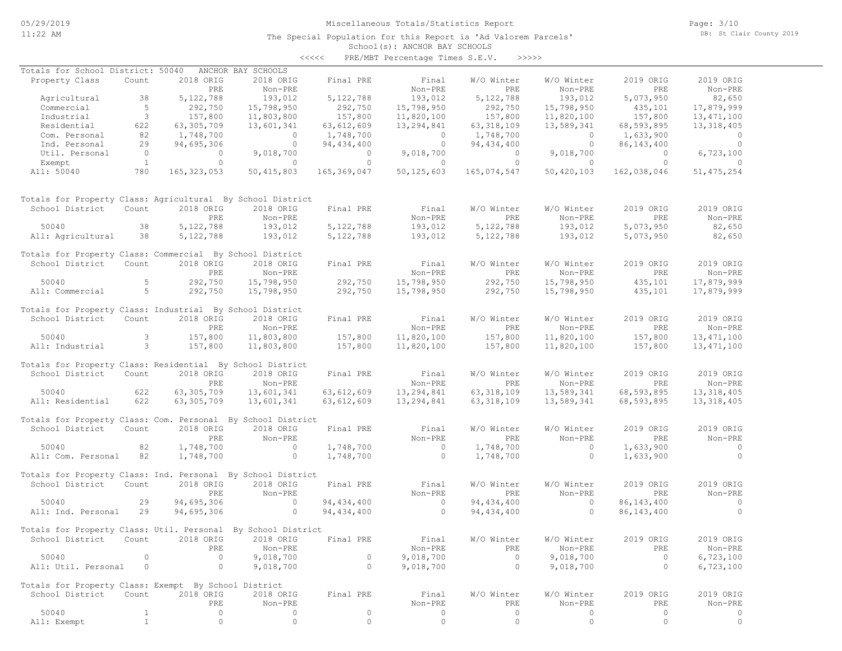The Special Population for this Report is 'Ad Valorem Parcels'

Page: 3/10 DB: St Clair County 2019

#### School(s): ANCHOR BAY SCHOOLS

|                                                              |                |               |                    | <<<<         | PRE/MBT Percentage Times S.E.V. | >>>>>        |            |              |              |
|--------------------------------------------------------------|----------------|---------------|--------------------|--------------|---------------------------------|--------------|------------|--------------|--------------|
| Totals for School District: 50040                            |                |               | ANCHOR BAY SCHOOLS |              |                                 |              |            |              |              |
| Property Class                                               | Count          | 2018 ORIG     | 2018 ORIG          | Final PRE    | Final                           | W/O Winter   | W/O Winter | 2019 ORIG    | 2019 ORIG    |
|                                                              |                | PRE           | Non-PRE            |              | Non-PRE                         | PRE          | Non-PRE    | PRE          | Non-PRE      |
| Agricultural                                                 | 38             | 5, 122, 788   | 193,012            | 5, 122, 788  | 193,012                         | 5,122,788    | 193,012    | 5,073,950    | 82,650       |
| Commercial                                                   | 5              | 292,750       | 15,798,950         | 292,750      | 15,798,950                      | 292,750      | 15,798,950 | 435,101      | 17,879,999   |
| Industrial                                                   | 3              | 157,800       | 11,803,800         | 157,800      | 11,820,100                      | 157,800      | 11,820,100 | 157,800      | 13, 471, 100 |
| Residential                                                  | 622            | 63,305,709    | 13,601,341         | 63,612,609   | 13,294,841                      | 63, 318, 109 | 13,589,341 | 68,593,895   | 13,318,405   |
| Com. Personal                                                | 82             | 1,748,700     | $\circ$            | 1,748,700    | $\circ$                         | 1,748,700    | $\circ$    | 1,633,900    | $\circ$      |
| Ind. Personal                                                | 29             | 94,695,306    | $\circ$            | 94, 434, 400 | $\circ$                         | 94, 434, 400 | $\circ$    | 86, 143, 400 | $\circ$      |
| Util. Personal                                               | $\overline{0}$ | $\mathbf{0}$  | 9,018,700          | $\Omega$     | 9,018,700                       | $\circ$      | 9,018,700  | $\Omega$     | 6,723,100    |
| Exempt                                                       | $\mathbf{1}$   | $\circ$       | $\circ$            | $\circ$      | $\circ$                         | $\circ$      | $\circ$    | $\circ$      | $\Omega$     |
| All: 50040                                                   | 780            | 165, 323, 053 | 50, 415, 803       | 165,369,047  | 50, 125, 603                    | 165,074,547  | 50,420,103 | 162,038,046  | 51, 475, 254 |
|                                                              |                |               |                    |              |                                 |              |            |              |              |
| Totals for Property Class: Agricultural By School District   |                |               |                    |              |                                 |              |            |              |              |
| School District                                              | Count          | 2018 ORIG     | 2018 ORIG          | Final PRE    | Final                           | W/O Winter   | W/O Winter | 2019 ORIG    | 2019 ORIG    |
|                                                              |                | PRE           | Non-PRE            |              | Non-PRE                         | PRE          | Non-PRE    | PRE          | Non-PRE      |
| 50040                                                        | 38             | 5, 122, 788   | 193,012            | 5,122,788    | 193,012                         | 5,122,788    | 193,012    | 5,073,950    | 82,650       |
| All: Agricultural                                            | 38             | 5, 122, 788   | 193,012            | 5, 122, 788  | 193,012                         | 5,122,788    | 193,012    | 5,073,950    | 82,650       |
| Totals for Property Class: Commercial By School District     |                |               |                    |              |                                 |              |            |              |              |
| School District                                              | Count          | 2018 ORIG     | 2018 ORIG          | Final PRE    | Final                           | W/O Winter   | W/O Winter | 2019 ORIG    | 2019 ORIG    |
|                                                              |                | PRE           | Non-PRE            |              | Non-PRE                         | PRE          | Non-PRE    | PRE          | Non-PRE      |
| 50040                                                        | 5              | 292,750       | 15,798,950         | 292,750      | 15,798,950                      | 292,750      | 15,798,950 | 435,101      | 17,879,999   |
| All: Commercial                                              | 5              | 292,750       | 15,798,950         | 292,750      | 15,798,950                      | 292,750      | 15,798,950 | 435,101      | 17,879,999   |
| Totals for Property Class: Industrial By School District     |                |               |                    |              |                                 |              |            |              |              |
| School District                                              | Count          | 2018 ORIG     | 2018 ORIG          | Final PRE    | Final                           | W/O Winter   | W/O Winter | 2019 ORIG    | 2019 ORIG    |
|                                                              |                | PRE           | Non-PRE            |              | Non-PRE                         | PRE          | Non-PRE    | PRE          | Non-PRE      |
| 50040                                                        | 3              | 157,800       | 11,803,800         | 157,800      | 11,820,100                      | 157,800      | 11,820,100 | 157,800      | 13, 471, 100 |
| All: Industrial                                              | 3              | 157,800       | 11,803,800         | 157,800      | 11,820,100                      | 157,800      | 11,820,100 | 157,800      | 13, 471, 100 |
|                                                              |                |               |                    |              |                                 |              |            |              |              |
| Totals for Property Class: Residential By School District    |                |               |                    |              |                                 |              |            |              |              |
| School District                                              | Count          | 2018 ORIG     | 2018 ORIG          | Final PRE    | Final                           | W/O Winter   | W/O Winter | 2019 ORIG    | 2019 ORIG    |
|                                                              |                | PRE           | Non-PRE            |              | Non-PRE                         | PRE          | Non-PRE    | PRE          | Non-PRE      |
| 50040                                                        | 622            | 63,305,709    | 13,601,341         | 63,612,609   | 13,294,841                      | 63, 318, 109 | 13,589,341 | 68,593,895   | 13, 318, 405 |
| All: Residential                                             | 622            | 63,305,709    | 13,601,341         | 63,612,609   | 13,294,841                      | 63, 318, 109 | 13,589,341 | 68,593,895   | 13, 318, 405 |
| Totals for Property Class: Com. Personal By School District  |                |               |                    |              |                                 |              |            |              |              |
| School District                                              | Count          | 2018 ORIG     | 2018 ORIG          | Final PRE    | Final                           | W/O Winter   | W/O Winter | 2019 ORIG    | 2019 ORIG    |
|                                                              |                | PRE           | Non-PRE            |              | Non-PRE                         | <b>PRE</b>   | Non-PRE    | PRE          | Non-PRE      |
| 50040                                                        | 82             | 1,748,700     | $\circ$            | 1,748,700    | $\circ$                         | 1,748,700    | $\circ$    | 1,633,900    | $\circ$      |
| All: Com. Personal                                           | 82             | 1,748,700     | $\circ$            | 1,748,700    | $\circ$                         | 1,748,700    | $\circ$    | 1,633,900    | $\circ$      |
|                                                              |                |               |                    |              |                                 |              |            |              |              |
| Totals for Property Class: Ind. Personal By School District  |                |               |                    |              |                                 |              |            |              |              |
| School District                                              | Count          | 2018 ORIG     | 2018 ORIG          | Final PRE    | Final                           | W/O Winter   | W/O Winter | 2019 ORIG    | 2019 ORIG    |
|                                                              |                | PRE           | Non-PRE            |              | Non-PRE                         | PRE          | Non-PRE    | PRE          | Non-PRE      |
| 50040                                                        | 29             | 94,695,306    | $\circ$            | 94, 434, 400 | $\circ$                         | 94, 434, 400 | $\circ$    | 86, 143, 400 | $\circ$      |
| All: Ind. Personal                                           | 29             | 94,695,306    | $\circ$            | 94, 434, 400 | $\circ$                         | 94, 434, 400 | $\circ$    | 86, 143, 400 | $\circ$      |
| Totals for Property Class: Util. Personal By School District |                |               |                    |              |                                 |              |            |              |              |
| School District                                              | Count          | 2018 ORIG     | 2018 ORIG          | Final PRE    | Final                           | W/O Winter   | W/O Winter | 2019 ORIG    | 2019 ORIG    |
|                                                              |                | PRE           | Non-PRE            |              | Non-PRE                         | PRE          | Non-PRE    | PRE          | Non-PRE      |
| 50040                                                        | $\circ$        | $\circ$       | 9,018,700          | $\circ$      | 9,018,700                       | $\circ$      | 9,018,700  | $\circ$      | 6,723,100    |
| All: Util. Personal                                          | $\circ$        | $\circ$       | 9,018,700          | $\circ$      | 9,018,700                       | $\circ$      | 9,018,700  | $\circ$      | 6,723,100    |
|                                                              |                |               |                    |              |                                 |              |            |              |              |
| Totals for Property Class: Exempt By School District         |                |               |                    |              |                                 |              |            |              |              |
| School District                                              | Count          | 2018 ORIG     | 2018 ORIG          | Final PRE    | Final                           | W/O Winter   | W/O Winter | 2019 ORIG    | 2019 ORIG    |
|                                                              |                | PRE           | Non-PRE            |              | Non-PRE                         | PRE          | Non-PRE    | PRE          | Non-PRE      |
| 50040                                                        | $\mathbf{1}$   | $\circ$       | $\circ$            | $\circ$      | $\circ$                         | $\circ$      | $\circ$    | $\circ$      | 0            |
| All: Exempt                                                  | $1\,$          | $\circ$       | $\circ$            | $\mathbb O$  | $\circ$                         | $\circ$      | $\circ$    | $\circ$      | $\circ$      |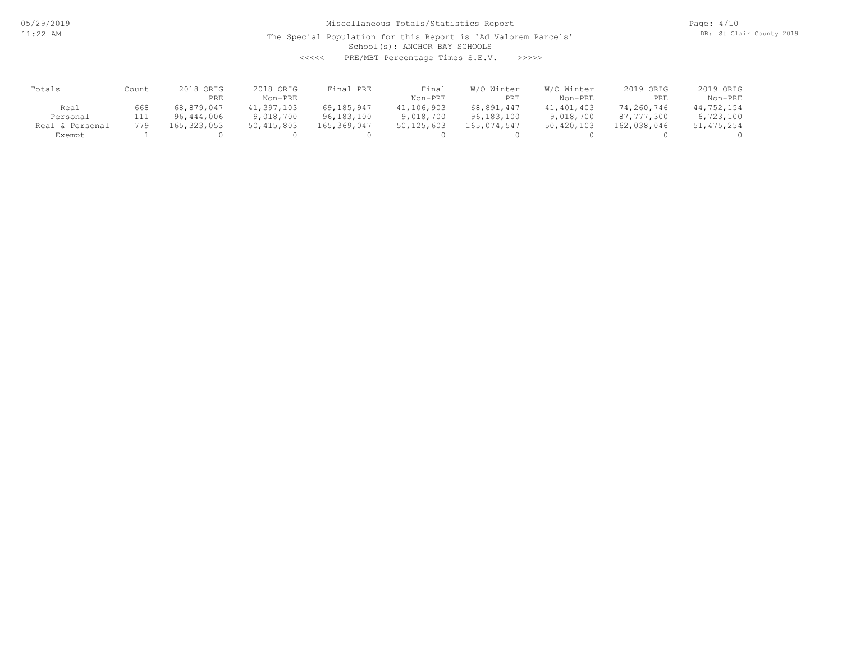The Special Population for this Report is 'Ad Valorem Parcels'

Page: 4/10 DB: St Clair County 2019

School(s): ANCHOR BAY SCHOOLS

<<<<< PRE/MBT Percentage Times S.E.V. >>>>>

| Totals          | Count | 2018 ORIG<br>PRE | 2018 ORIG<br>Non-PRE | Final PRE   | Final<br>Non-PRE | W/O Winter<br>PRE | W/O Winter<br>Non-PRE | 2019 ORIG<br>PRE | 2019 ORIG<br>Non-PRE |
|-----------------|-------|------------------|----------------------|-------------|------------------|-------------------|-----------------------|------------------|----------------------|
| Real            | 668   | 68,879,047       | 41,397,103           | 69,185,947  | 41,106,903       | 68,891,447        | 41,401,403            | 74,260,746       | 44,752,154           |
| Personal        | 111   | 96,444,006       | 9,018,700            | 96,183,100  | 9,018,700        | 96,183,100        | 9,018,700             | 87,777,300       | 6,723,100            |
| Real & Personal | 779   | 165,323,053      | 50,415,803           | 165,369,047 | 50,125,603       | 165,074,547       | 50,420,103            | 162,038,046      | 51, 475, 254         |
| Exempt          |       |                  |                      |             |                  |                   |                       |                  |                      |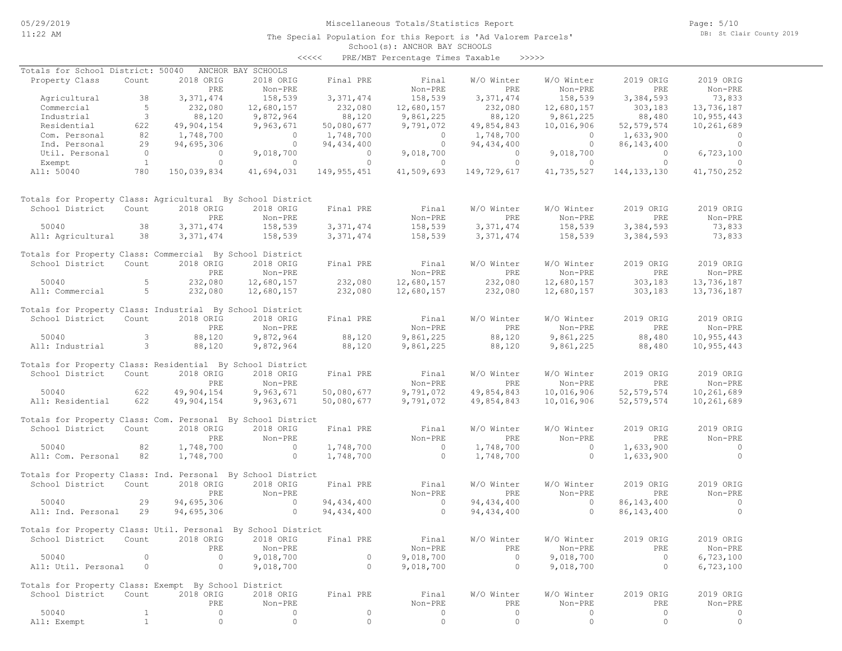The Special Population for this Report is 'Ad Valorem Parcels'

Page: 5/10 DB: St Clair County 2019

#### School(s): ANCHOR BAY SCHOOLS <<<<< PRE/MBT Percentage Times Taxable >>>>>

| Totals for School District: 50040 ANCHOR BAY SCHOOLS         |                          |                                   |                                       |                                                 |                                       |                                                        |                                       |                                       |                     |
|--------------------------------------------------------------|--------------------------|-----------------------------------|---------------------------------------|-------------------------------------------------|---------------------------------------|--------------------------------------------------------|---------------------------------------|---------------------------------------|---------------------|
| Property Class                                               | Count                    | 2018 ORIG                         | 2018 ORIG                             | Final PRE                                       | Final                                 | W/O Winter                                             | W/O Winter                            | 2019 ORIG                             | 2019 ORIG           |
|                                                              |                          | PRE                               | Non-PRE                               |                                                 | Non-PRE                               | PRE                                                    | Non-PRE                               | PRE                                   | Non-PRE             |
| Agricultural 38                                              |                          |                                   | 158,539                               | 3, 371, 474                                     | 158,539                               |                                                        | 158,539                               | 3, 384, 593                           | 73,833              |
|                                                              |                          | 3, 371, 474                       |                                       |                                                 |                                       | 3, 371, 474                                            |                                       |                                       |                     |
| Commercial                                                   | 5 <sup>5</sup>           | 232,080                           | 12,680,157                            | 232,080                                         | 12,680,157                            | 232,080                                                | 12,680,157                            | 303,183                               | 13,736,187          |
| Industrial                                                   | $\overline{\phantom{a}}$ | 88,120                            | 9,872,964                             | 88,120                                          | 9,861,225                             | 88,120                                                 | 9,861,225                             | 88,480                                | 10,955,443          |
| Residential                                                  | 622                      | 49,904,154                        | 9,963,671                             | 50,080,677                                      | 9,791,072                             | 49,854,843                                             | 10,016,906                            | 52,579,574                            | 10,261,689          |
| Com. Personal                                                | 82                       | 1,748,700                         | $\begin{matrix} 0 \\ 0 \end{matrix}$  | 1,748,700                                       | $\begin{array}{c} 0 \\ 0 \end{array}$ | 1,748,700<br>94,434,400                                | $\begin{array}{c} 0 \\ 0 \end{array}$ | 1,633,900                             | $\overline{a}$      |
| Ind. Personal                                                |                          |                                   | $\overline{0}$                        |                                                 |                                       |                                                        |                                       | 86,143,400                            | $\overline{0}$      |
| Util. Personal                                               |                          |                                   | 9,018,700                             |                                                 |                                       | $\overline{0}$                                         | 9,018,700                             | $\begin{array}{c} 0 \\ 0 \end{array}$ | 6,723,100           |
| Exempt                                                       |                          | $25$ 94, 695, 306<br>0 0<br>1 0   | $\sim$ 0                              | $94,434,400$<br>0<br>0<br>0<br>0<br>0<br>0<br>0 | $\overline{0}$ 0                      |                                                        | $\overline{0}$ 0                      | $\overline{0}$                        | $\sim$ 0            |
| All: 50040                                                   | 780                      | 150,039,834                       | 41,694,031                            |                                                 | 149, 955, 451 41, 509, 693            | 149,729,617                                            | 41,735,527                            | 144, 133, 130 41, 750, 252            |                     |
| Totals for Property Class: Agricultural By School District   |                          |                                   |                                       |                                                 |                                       |                                                        |                                       |                                       |                     |
|                                                              |                          |                                   |                                       |                                                 |                                       |                                                        |                                       |                                       |                     |
| School District                                              | Count                    | 2018 ORIG                         | 2018 ORIG                             | Final PRE                                       | Final                                 | W/O Winter                                             | W/O Winter                            | 2019 ORIG                             | 2019 ORIG           |
|                                                              |                          | PRE                               | Non-PRE                               |                                                 | Non-PRE                               | PRE                                                    | Non-PRE<br>158,539                    | PRE                                   | Non-PRE             |
| 50040                                                        | 38                       | 3, 371, 474                       | $\frac{1}{158}$ , 539                 | 3, 371, 474                                     | 158,539                               | 3, 371, 474                                            |                                       | 3,384,593                             | 73,833              |
| All: Agricultural 38                                         |                          | 3, 371, 474                       | 158,539                               | 3, 371, 474                                     | 158,539                               | 3,371,474                                              | 158,539                               |                                       | 3, 384, 593 73, 833 |
| Totals for Property Class: Commercial By School District     |                          |                                   |                                       |                                                 |                                       |                                                        |                                       |                                       |                     |
| School District Count                                        |                          | 2018 ORIG                         | 2018 ORIG                             | Final PRE                                       | Final                                 | W/O Winter                                             | W/O Winter                            | 2019 ORIG                             | 2019 ORIG           |
|                                                              |                          | PRE                               | Non-PRE                               |                                                 | Non-PRE                               | PRE                                                    | Non-PRE                               | PRE                                   | Non-PRE             |
|                                                              |                          | 232,080                           | 12,680,157                            | 232,080                                         |                                       |                                                        | 12,680,157                            |                                       | 13,736,187          |
| 50040 5<br>All: Commercial 5                                 |                          | 232,080                           | 12,680,157                            | 232,080                                         |                                       | $12,680,157$<br>$12,680,157$<br>$232,080$<br>$232,080$ | 12,680,157                            | 303,183<br>303,183                    | 13,736,187          |
|                                                              |                          |                                   |                                       |                                                 |                                       |                                                        |                                       |                                       |                     |
| Totals for Property Class: Industrial By School District     |                          |                                   |                                       |                                                 |                                       |                                                        |                                       |                                       |                     |
| School District                                              | Count                    | 2018 ORIG                         | 2018 ORIG                             | Final PRE                                       | Final                                 | W/O Winter                                             | W/O Winter                            | 2019 ORIG                             | 2019 ORIG           |
|                                                              |                          | PRE                               | Non-PRE                               |                                                 | Non-PRE                               | PRE                                                    | Non-PRE                               |                                       | Non-PRE             |
| 50040                                                        |                          | $\overline{\mathbf{3}}$<br>88,120 | 9,872,964                             | 88,120                                          | 9,861,225                             | 88,120                                                 | 9,861,225                             | PRE<br>88,480                         | 10,955,443          |
| All: Industrial 3                                            |                          | 88,120                            | 9,872,964                             | 88,120                                          | 9,861,225                             | 88,120                                                 | 9,861,225                             | 88,480                                | 10,955,443          |
|                                                              |                          |                                   |                                       |                                                 |                                       |                                                        |                                       |                                       |                     |
| Totals for Property Class: Residential By School District    |                          |                                   |                                       |                                                 |                                       |                                                        |                                       |                                       |                     |
| School District                                              | Count                    | 2018 ORIG                         | 2018 ORIG                             | Final PRE                                       | Final                                 | W/O Winter                                             | W/O Winter                            | 2019 ORIG                             | 2019 ORIG           |
|                                                              |                          | PRE                               | Non-PRE                               |                                                 | Non-PRE                               | PRE                                                    | Non-PRE                               | PRE                                   | Non-PRE             |
| 50040                                                        | 622                      | 49,904,154                        | 9,963,671                             |                                                 | 50,080,677 9,791,072                  | 49,854,843                                             | 10,016,906                            | 52, 579, 574                          | 10,261,689          |
|                                                              |                          |                                   |                                       |                                                 |                                       |                                                        |                                       |                                       |                     |
| All: Residential                                             | 622                      | 49,904,154                        | 9,963,671                             | 50,080,677                                      | 9,791,072                             | 49,854,843                                             | 10,016,906                            | 52, 579, 574                          | 10,261,689          |
| Totals for Property Class: Com. Personal By School District  |                          |                                   |                                       |                                                 |                                       |                                                        |                                       |                                       |                     |
| School District Count                                        |                          | 2018 ORIG                         | 2018 ORIG                             | Final PRE                                       | Final                                 | W/O Winter                                             | W/O Winter                            | 2019 ORIG                             | 2019 ORIG           |
|                                                              |                          | PRE                               | Non-PRE                               |                                                 | Non-PRE                               | PRE                                                    | Non-PRE                               | PRE                                   | Non-PRE             |
| 50040                                                        | 82                       | 1,748,700                         |                                       |                                                 |                                       |                                                        | $\overline{0}$                        |                                       | $\sim$ 0            |
|                                                              |                          |                                   | $\begin{array}{c} 0 \\ 0 \end{array}$ | $1,748,700$ 0                                   |                                       | 1,748,700                                              |                                       | 1,633,900                             |                     |
| All: Com. Personal 82                                        |                          | 1,748,700                         |                                       | 1,748,700                                       | $\overline{0}$                        | 1,748,700                                              | $\overline{0}$                        | 1,633,900                             | $\overline{0}$      |
| Totals for Property Class: Ind. Personal By School District  |                          |                                   |                                       |                                                 |                                       |                                                        |                                       |                                       |                     |
| School District                                              | Count                    | 2018 ORIG                         | 2018 ORIG                             | Final PRE                                       | Final                                 | W/O Winter                                             | W/O Winter                            | 2019 ORIG                             | 2019 ORIG           |
|                                                              |                          | PRE                               | Non-PRE                               |                                                 | Non-PRE                               | PRE                                                    | Non-PRE                               | PRE                                   | Non-PRE             |
|                                                              |                          |                                   |                                       |                                                 |                                       |                                                        |                                       |                                       |                     |
| 50040                                                        | 29                       | 94,695,306                        |                                       |                                                 | $\sim$ 0 $\sim$ 0 $\sim$              | 94, 434, 400                                           | $\overline{0}$                        | 86, 143, 400                          | $\sim$ 0            |
| All: Ind. Personal 29                                        |                          | 94,695,306                        | $0$ $94,434,400$<br>0 $94,434,400$    |                                                 | $\overline{0}$                        | 94, 434, 400                                           | $\sim$ 0                              | 86, 143, 400                          | $\sim$ 0            |
|                                                              |                          |                                   |                                       |                                                 |                                       |                                                        |                                       |                                       |                     |
| Totals for Property Class: Util. Personal By School District |                          |                                   |                                       |                                                 |                                       |                                                        |                                       |                                       |                     |
| School District Count 2018 ORIG 2018 ORIG Final PRE          |                          |                                   |                                       |                                                 | Final                                 | W/O Winter                                             | W/O Winter                            | 2019 ORIG                             | 2019 ORIG           |
|                                                              |                          | PRE                               | Non-PRE                               |                                                 | Non-PRE                               | PRE                                                    | Non-PRE                               | PRE                                   | Non-PRE             |
| 50040                                                        | $\circ$                  | $\circ$                           | 9,018,700                             | $\circ$                                         | 9,018,700                             | $\bigcirc$                                             | 9,018,700                             | $\overline{0}$                        | 6,723,100           |
| All: Util. Personal                                          | $\circ$                  | $\circ$                           | 9,018,700                             | $\circ$                                         | 9,018,700                             | $\circ$                                                | 9,018,700                             | $\circ$                               | 6,723,100           |
|                                                              |                          |                                   |                                       |                                                 |                                       |                                                        |                                       |                                       |                     |
| Totals for Property Class: Exempt By School District         |                          |                                   |                                       |                                                 |                                       |                                                        |                                       |                                       |                     |
| School District                                              | Count                    | 2018 ORIG                         | 2018 ORIG                             | Final PRE                                       | Final                                 | W/O Winter                                             | W/O Winter                            | 2019 ORIG                             | 2019 ORIG           |
|                                                              |                          | PRE                               | Non-PRE                               |                                                 | Non-PRE                               | PRE                                                    | Non-PRE                               | PRE                                   | Non-PRE             |
| 50040                                                        | $\mathbf{1}$             | $\circ$                           | $\circ$                               | $\circ$                                         | $\circ$                               | $\circ$                                                | $\circ$                               | $\circ$                               | $\circ$             |
| All: Exempt                                                  | $\mathbf{1}$             | $\circ$                           | $\circ$                               | $\circ$                                         | $\circ$                               | $\circ$                                                | $\circ$                               | $\circ$                               | $\circ$             |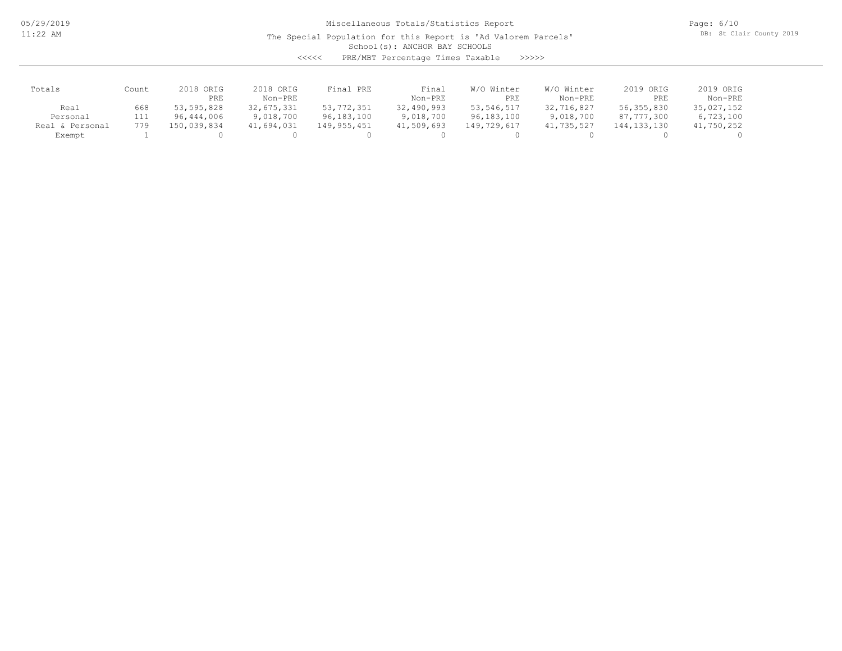The Special Population for this Report is 'Ad Valorem Parcels'

Page: 6/10 DB: St Clair County 2019

School(s): ANCHOR BAY SCHOOLS

| くくくくく | PRE/MBT Percentage Times Taxable |  |  | >>>>> |
|-------|----------------------------------|--|--|-------|
|-------|----------------------------------|--|--|-------|

| Totals           | Count      | 2018 ORIG<br>PRE         | 2018 ORIG<br>Non-PRE    | Final PRE                  | Final<br>Non-PRE        | W/O Winter<br>PRE          | W/O Winter<br>Non-PRE   | 2019 ORIG<br>PRE           | 2019 ORIG<br>Non-PRE    |
|------------------|------------|--------------------------|-------------------------|----------------------------|-------------------------|----------------------------|-------------------------|----------------------------|-------------------------|
| Real<br>Personal | 668<br>111 | 53,595,828<br>96,444,006 | 32,675,331<br>9,018,700 | 53, 772, 351<br>96,183,100 | 32,490,993<br>9,018,700 | 53, 546, 517<br>96,183,100 | 32,716,827<br>9,018,700 | 56, 355, 830<br>87,777,300 | 35,027,152<br>6,723,100 |
| Real & Personal  | 779        | 150,039,834              | 41,694,031              | 149,955,451                | 41,509,693              | 149,729,617                | 41,735,527              | 144,133,130                | 41,750,252              |
| Exempt           |            |                          |                         |                            |                         |                            |                         |                            |                         |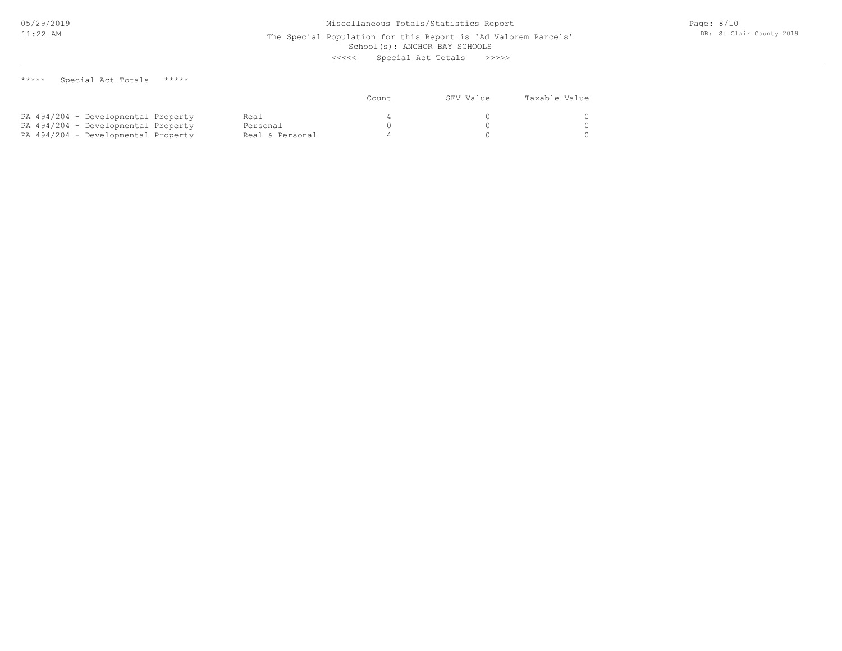# School(s): ANCHOR BAY SCHOOLS

<<<<< Special Act Totals >>>>>

| ***** | Special Act Totals |  |  | ***** |
|-------|--------------------|--|--|-------|
|-------|--------------------|--|--|-------|

|                                     |                 | Count | SEV Value | Taxable Value |
|-------------------------------------|-----------------|-------|-----------|---------------|
| PA 494/204 - Developmental Property | Real            |       |           |               |
| PA 494/204 - Developmental Property | Personal        |       |           |               |
| PA 494/204 - Developmental Property | Real & Personal |       |           |               |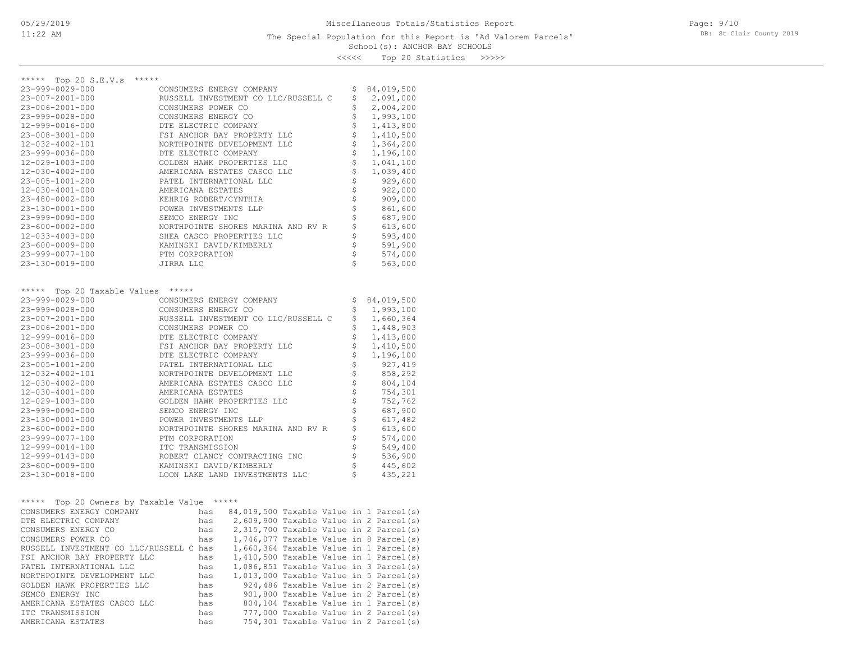#### School(s): ANCHOR BAY SCHOOLS The Special Population for this Report is 'Ad Valorem Parcels'

<<<<< Top 20 Statistics >>>>>

| *****                                                      |                                                                                                                                                                                                                                              |                                                        |                                                                        |  |  |  |
|------------------------------------------------------------|----------------------------------------------------------------------------------------------------------------------------------------------------------------------------------------------------------------------------------------------|--------------------------------------------------------|------------------------------------------------------------------------|--|--|--|
| ***** Top 20 S.E.V.s                                       |                                                                                                                                                                                                                                              |                                                        |                                                                        |  |  |  |
| 23-999-0029-000                                            | CONSUMERS ENERGY COMPANY                                                                                                                                                                                                                     | Ş.                                                     | 84,019,500                                                             |  |  |  |
| 23-007-2001-000                                            | RUSSELL INVESTMENT CO LLC/RUSSELL C                                                                                                                                                                                                          | \$                                                     | 2,091,000                                                              |  |  |  |
| 23-006-2001-000                                            | CONSUMERS POWER CO                                                                                                                                                                                                                           | \$                                                     | 2,004,200                                                              |  |  |  |
| 23-999-0028-000                                            | CONSUMERS ENERGY CO                                                                                                                                                                                                                          | \$                                                     | 1,993,100                                                              |  |  |  |
| 12-999-0016-000                                            | DTE ELECTRIC COMPANY                                                                                                                                                                                                                         | \$                                                     | 1,413,800                                                              |  |  |  |
| 23-008-3001-000                                            | FSI ANCHOR BAY PROPERTY LLC                                                                                                                                                                                                                  | \$                                                     | 1,410,500                                                              |  |  |  |
| 12-032-4002-101                                            | NORTHPOINTE DEVELOPMENT LLC                                                                                                                                                                                                                  | \$                                                     | 1,364,200                                                              |  |  |  |
| 23-999-0036-000                                            | DTE ELECTRIC COMPANY                                                                                                                                                                                                                         | \$                                                     | 1,196,100                                                              |  |  |  |
| 12-029-1003-000                                            | GOLDEN HAWK PROPERTIES LLC                                                                                                                                                                                                                   | $\mathsf{S}$                                           | 1,041,100                                                              |  |  |  |
| 12-030-4002-000                                            | AMERICANA ESTATES CASCO LLC                                                                                                                                                                                                                  | $\ddot{\mathsf{s}}$                                    | 1,039,400                                                              |  |  |  |
| 23-005-1001-200                                            | PATEL INTERNATIONAL LLC                                                                                                                                                                                                                      | \$                                                     | 929,600                                                                |  |  |  |
| $12 - 030 - 4001 - 000$                                    | AMERICANA ESTATES                                                                                                                                                                                                                            | $\mathsf S$                                            | 922,000                                                                |  |  |  |
| 23-480-0002-000                                            | KEHRIG ROBERT/CYNTHIA                                                                                                                                                                                                                        | $\mathsf{S}$                                           | 909,000                                                                |  |  |  |
| 23-130-0001-000                                            | POWER INVESTMENTS LLP                                                                                                                                                                                                                        | \$                                                     | 861,600                                                                |  |  |  |
| 23-999-0090-000                                            | SEMCO ENERGY INC                                                                                                                                                                                                                             | \$                                                     | 687,900                                                                |  |  |  |
| 23-600-0002-000                                            | NORTHPOINTE SHORES MARINA AND RV R                                                                                                                                                                                                           | \$                                                     | 613,600                                                                |  |  |  |
| 12-033-4003-000                                            | SHEA CASCO PROPERTIES LLC                                                                                                                                                                                                                    | \$                                                     | 593,400                                                                |  |  |  |
| 23-600-0009-000                                            | KAMINSKI DAVID/KIMBERLY                                                                                                                                                                                                                      | \$                                                     | 591,900                                                                |  |  |  |
| 23-999-0077-100                                            | PTM CORPORATION                                                                                                                                                                                                                              | $\mathsf{S}$                                           | 574,000                                                                |  |  |  |
| 23-130-0019-000                                            | JIRRA LLC                                                                                                                                                                                                                                    | \$                                                     | 563,000                                                                |  |  |  |
|                                                            |                                                                                                                                                                                                                                              |                                                        |                                                                        |  |  |  |
| *****<br>Top 20 Taxable Values *****                       |                                                                                                                                                                                                                                              |                                                        |                                                                        |  |  |  |
| 23-999-0029-000                                            |                                                                                                                                                                                                                                              | \$                                                     | 84,019,500                                                             |  |  |  |
| 23-999-0028-000                                            | CONSUMERS ENERGY COMPANY<br>CONSUMERS ENERGY CO<br>CURRENT INTERNATION                                                                                                                                                                       | \$                                                     | 1,993,100                                                              |  |  |  |
| 23-007-2001-000                                            | RUSSELL INVESTMENT CO LLC/RUSSELL C                                                                                                                                                                                                          | \$                                                     | 1,660,364                                                              |  |  |  |
| 23-006-2001-000                                            | CONSUMERS POWER CO                                                                                                                                                                                                                           | \$                                                     | 1,448,903                                                              |  |  |  |
| 12-999-0016-000                                            | DTE ELECTRIC COMPANY                                                                                                                                                                                                                         | \$                                                     | 1,413,800                                                              |  |  |  |
| 23-008-3001-000                                            | FSI ANCHOR BAY PROPERTY LLC                                                                                                                                                                                                                  | $\ddot{\mathsf{S}}$                                    | 1,410,500                                                              |  |  |  |
| 23-999-0036-000                                            | DTE ELECTRIC COMPANY                                                                                                                                                                                                                         | \$                                                     | 1,196,100                                                              |  |  |  |
| 23-005-1001-200                                            | PATEL INTERNATIONAL LLC                                                                                                                                                                                                                      |                                                        | $$^{2}927,419\n$^{2}858,292\n$^{2}804,104\n$^{2}754,301\n$^{2}752,762$ |  |  |  |
| 12-032-4002-101                                            | NORTHPOINTE DEVELOPMENT LLC                                                                                                                                                                                                                  | $\begin{array}{c} \mathsf{S}\\ \mathsf{S} \end{array}$ |                                                                        |  |  |  |
| 12-030-4002-000                                            | AMERICANA ESTATES CASCO LLC                                                                                                                                                                                                                  |                                                        |                                                                        |  |  |  |
| 12-030-4001-000                                            | AMERICANA ESTATES                                                                                                                                                                                                                            | $\ddot{\mathcal{Z}}$                                   |                                                                        |  |  |  |
| 12-029-1003-000                                            | GOLDEN HAWK PROPERTIES LLC                                                                                                                                                                                                                   |                                                        |                                                                        |  |  |  |
| 23-999-0090-000                                            | SEMCO ENERGY INC                                                                                                                                                                                                                             | \$                                                     | 687,900                                                                |  |  |  |
| 23-130-0001-000                                            | POWER INVESTMENTS LLP                                                                                                                                                                                                                        | \$                                                     | 617,482                                                                |  |  |  |
| 23-600-0002-000                                            | NORTHPOINTE SHORES MARINA AND RV R                                                                                                                                                                                                           | \$                                                     | 613,600                                                                |  |  |  |
| 23-999-0077-100                                            | PTM CORPORATION                                                                                                                                                                                                                              | \$                                                     | 574,000                                                                |  |  |  |
| 12-999-0014-100                                            | ITC TRANSMISSION                                                                                                                                                                                                                             | \$                                                     | 549,400                                                                |  |  |  |
| 12-999-0143-000                                            | ROBERT CLANCY CONTRACTING INC                                                                                                                                                                                                                | \$                                                     | 536,900                                                                |  |  |  |
| 23-600-0009-000                                            | KAMINSKI DAVID/KIMBERLY                                                                                                                                                                                                                      | \$                                                     | 445,602                                                                |  |  |  |
| 23-130-0018-000                                            | LOON LAKE LAND INVESTMENTS LLC                                                                                                                                                                                                               | \$                                                     | 435,221                                                                |  |  |  |
|                                                            |                                                                                                                                                                                                                                              |                                                        |                                                                        |  |  |  |
| ***** Top 20 Owners by Taxable Value *****                 |                                                                                                                                                                                                                                              |                                                        |                                                                        |  |  |  |
| CONSUMERS ENERGY COMPANY                                   | has 84,019,500 Taxable Value in 1 Parcel(s)                                                                                                                                                                                                  |                                                        |                                                                        |  |  |  |
| DTE ELECTRIC COMPANY                                       | 2,609,900 Taxable Value in 2 Parcel(s)<br>has                                                                                                                                                                                                |                                                        |                                                                        |  |  |  |
|                                                            |                                                                                                                                                                                                                                              |                                                        |                                                                        |  |  |  |
|                                                            | CONSUMERS ENERGY CO<br>CONSUMERS POWER CO<br>CONSUMERS POWER CO<br>RUSSELL C has<br>T, 746, 077 Taxable Value in 8 Parcel(s)<br>RUSSELL INVESTMENT COLLC/RUSSELL C has<br>1, 660, 364 Taxable Value in 1 Parcel(s)<br>TAXABLE VALUE IN PARCE |                                                        |                                                                        |  |  |  |
|                                                            | $1,410,500$ Taxable Value in 1 Parcel(s)                                                                                                                                                                                                     |                                                        |                                                                        |  |  |  |
| FSI ANCHOR BAY PROPERTY LLC has<br>PATEL INTERNATIONAL LLC |                                                                                                                                                                                                                                              |                                                        |                                                                        |  |  |  |
| NORTHPOINTE DEVELOPMENT LLC                                | has<br>has<br>1,086,851 Taxable Value in 3 Parcel(s)                                                                                                                                                                                         |                                                        |                                                                        |  |  |  |
| GOLDEN HAWK PROPERTIES LLC                                 | $1,013,000$ Taxable Value in 5 Parcel(s)<br>924,486 Taxable Value in 2 Parcel(s)<br>has                                                                                                                                                      |                                                        |                                                                        |  |  |  |
| SEMCO ENERGY INC                                           | 901,800 Taxable Value in 2 Parcel(s)<br>has                                                                                                                                                                                                  |                                                        |                                                                        |  |  |  |
| AMERICANA ESTATES CASCO LLC                                | has<br>804,104 Taxable Value in 1 Parcel(s)                                                                                                                                                                                                  |                                                        |                                                                        |  |  |  |
| ITC TRANSMISSION                                           | 777,000 Taxable Value in 2 Parcel(s)<br>has                                                                                                                                                                                                  |                                                        |                                                                        |  |  |  |
| AMERICANA ESTATES                                          | 754,301 Taxable Value in 2 Parcel(s)<br>has                                                                                                                                                                                                  |                                                        |                                                                        |  |  |  |